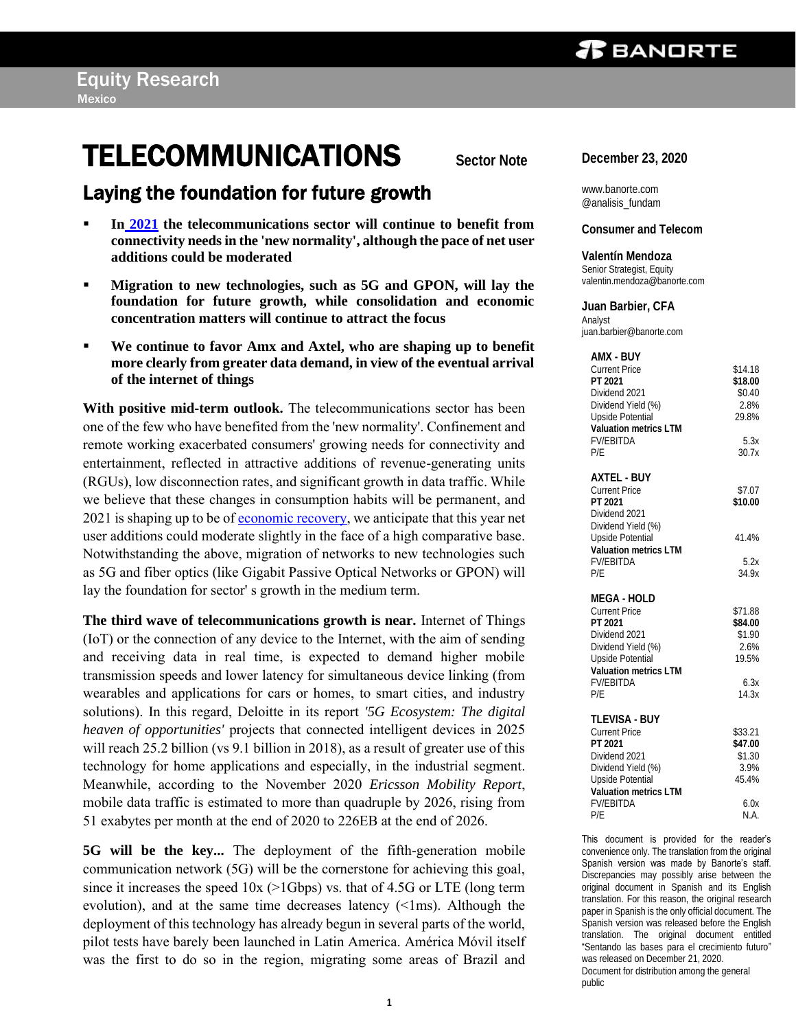## **TELECOMMUNICATIONS** Sector Note

### Laying the foundation for future growth

- In [2021](https://www.banorte.com/cms/casadebolsabanorteixe/analisisyestrategia/analisiseconomico/mexico/20201221_Issues_watch_2021.pdf) the telecommunications sector will continue to benefit from **connectivity needs in the 'new normality', although the pace of net user additions could be moderated**
- **Migration to new technologies, such as 5G and GPON, will lay the foundation for future growth, while consolidation and economic concentration matters will continue to attract the focus**
- We continue to favor Amx and Axtel, who are shaping up to benefit **more clearly from greater data demand, in view of the eventual arrival of the internet of things**

**With positive mid-term outlook.** The telecommunications sector has been one of the few who have benefited from the 'new normality'. Confinement and remote working exacerbated consumers' growing needs for connectivity and entertainment, reflected in attractive additions of revenue-generating units (RGUs), low disconnection rates, and significant growth in data traffic. While we believe that these changes in consumption habits will be permanent, and 2021 is shaping up to be of [economic recovery,](https://www.banorte.com/cms/casadebolsabanorteixe/analisisyestrategia/analisiseconomico/mexico/20201019_4Q20_Outlook.pdf) we anticipate that this year net user additions could moderate slightly in the face of a high comparative base. Notwithstanding the above, migration of networks to new technologies such as 5G and fiber optics (like Gigabit Passive Optical Networks or GPON) will lay the foundation for sector' s growth in the medium term.

**The third wave of telecommunications growth is near.** Internet of Things (IoT) or the connection of any device to the Internet, with the aim of sending and receiving data in real time, is expected to demand higher mobile transmission speeds and lower latency for simultaneous device linking (from wearables and applications for cars or homes, to smart cities, and industry solutions). In this regard, Deloitte in its report *'5G Ecosystem: The digital heaven of opportunities'* projects that connected intelligent devices in 2025 will reach 25.2 billion (vs 9.1 billion in 2018), as a result of greater use of this technology for home applications and especially, in the industrial segment. Meanwhile, according to the November 2020 *Ericsson Mobility Report*, mobile data traffic is estimated to more than quadruple by 2026, rising from 51 exabytes per month at the end of 2020 to 226EB at the end of 2026.

**5G will be the key...** The deployment of the fifth-generation mobile communication network (5G) will be the cornerstone for achieving this goal, since it increases the speed  $10x$  ( $>1Gbps$ ) vs. that of 4.5G or LTE (long term evolution), and at the same time decreases latency (<1ms). Although the deployment of this technology has already begun in several parts of the world, pilot tests have barely been launched in Latin America. América Móvil itself was the first to do so in the region, migrating some areas of Brazil and **December 23, 2020**

www.banorte.com @analisis\_fundam

#### **Consumer and Telecom**

**Valentín Mendoza** Senior Strategist, Equity valentin.mendoza@banorte.com

**Juan Barbier, CFA** Analyst juan.barbier@banorte.com

| AMX - BUY<br><b>Current Price</b><br>PT 2021<br>Dividend 2021<br>Dividend Yield (%)<br>Upside Potential<br>Valuation metrics LTM<br><b>FV/FBITDA</b>          | \$14.18<br>\$18.00<br>\$0.40<br>2.8%<br>29.8%<br>5.3x          |
|---------------------------------------------------------------------------------------------------------------------------------------------------------------|----------------------------------------------------------------|
| P/F                                                                                                                                                           | 30.7x                                                          |
| <b>AXTEL - BUY</b><br><b>Current Price</b><br>PT 2021<br>Dividend 2021<br>Dividend Yield (%)                                                                  | \$7.07<br>\$10.00                                              |
| Upside Potential<br>Valuation metrics LTM                                                                                                                     | 41.4%                                                          |
| <b>FV/EBITDA</b><br>P/F                                                                                                                                       | 5.2x<br>34.9x                                                  |
| MEGA - HOLD<br><b>Current Price</b><br>PT 2021<br>Dividend 2021<br>Dividend Yield (%)<br>Upside Potential<br>Valuation metrics LTM<br><b>FV/EBITDA</b><br>P/F | \$71.88<br>\$84.00<br>\$1.90<br>2.6%<br>19.5%<br>6.3x<br>14.3x |
|                                                                                                                                                               |                                                                |
| <b>TLEVISA - BUY</b><br><b>Current Price</b><br>PT 2021<br>Dividend 2021<br>Dividend Yield (%)<br>Upside Potential<br>Valuation metrics LTM                   | \$33.21<br>\$47.00<br>\$1.30<br>3.9%<br>45.4%                  |
| <b>FV/EBITDA</b><br>P/F                                                                                                                                       | 6.0x<br>N.A.                                                   |

This document is provided for the reader's convenience only. The translation from the original Spanish version was made by Banorte's staff. Discrepancies may possibly arise between the original document in Spanish and its English translation. For this reason, the original research paper in Spanish is the only official document. The Spanish version was released before the English translation. The original document entitled "Sentando las bases para el crecimiento futuro" was released on December 21, 2020. Document for distribution among the general public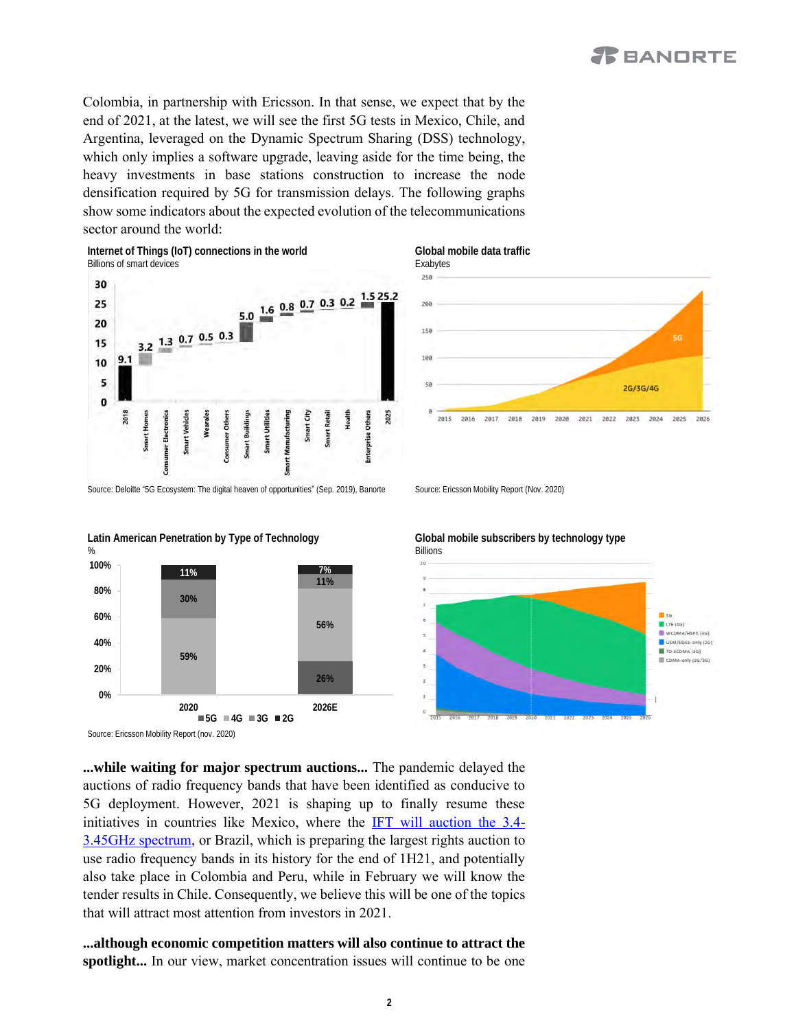Colombia, in partnership with Ericsson. In that sense, we expect that by the end of 2021, at the latest, we will see the first 5G tests in Mexico, Chile, and Argentina, leveraged on the Dynamic Spectrum Sharing (DSS) technology, which only implies a software upgrade, leaving aside for the time being, the heavy investments in base stations construction to increase the node densification required by 5G for transmission delays. The following graphs show some indicators about the expected evolution of the telecommunications sector around the world:







Source: Ericsson Mobility Report (nov. 2020)

**...while waiting for major spectrum auctions...** The pandemic delayed the auctions of radio frequency bands that have been identified as conducive to 5G deployment. However, 2021 is shaping up to finally resume these initiatives in countries like Mexico, where the [IFT will auction the 3.4-](https://www.banorte.com/cms/casadebolsabanorteixe/analisisyestrategia/analisisbursatil/Flash_Amx_Subasta%20de%203.4Ghz%20incluida%20en%20el%20plan%202021_MG.pdf) [3.45GHz spectrum,](https://www.banorte.com/cms/casadebolsabanorteixe/analisisyestrategia/analisisbursatil/Flash_Amx_Subasta%20de%203.4Ghz%20incluida%20en%20el%20plan%202021_MG.pdf) or Brazil, which is preparing the largest rights auction to use radio frequency bands in its history for the end of 1H21, and potentially also take place in Colombia and Peru, while in February we will know the tender results in Chile. Consequently, we believe this will be one of the topics that will attract most attention from investors in 2021.

**...although economic competition matters will also continue to attract the spotlight...** In our view, market concentration issues will continue to be one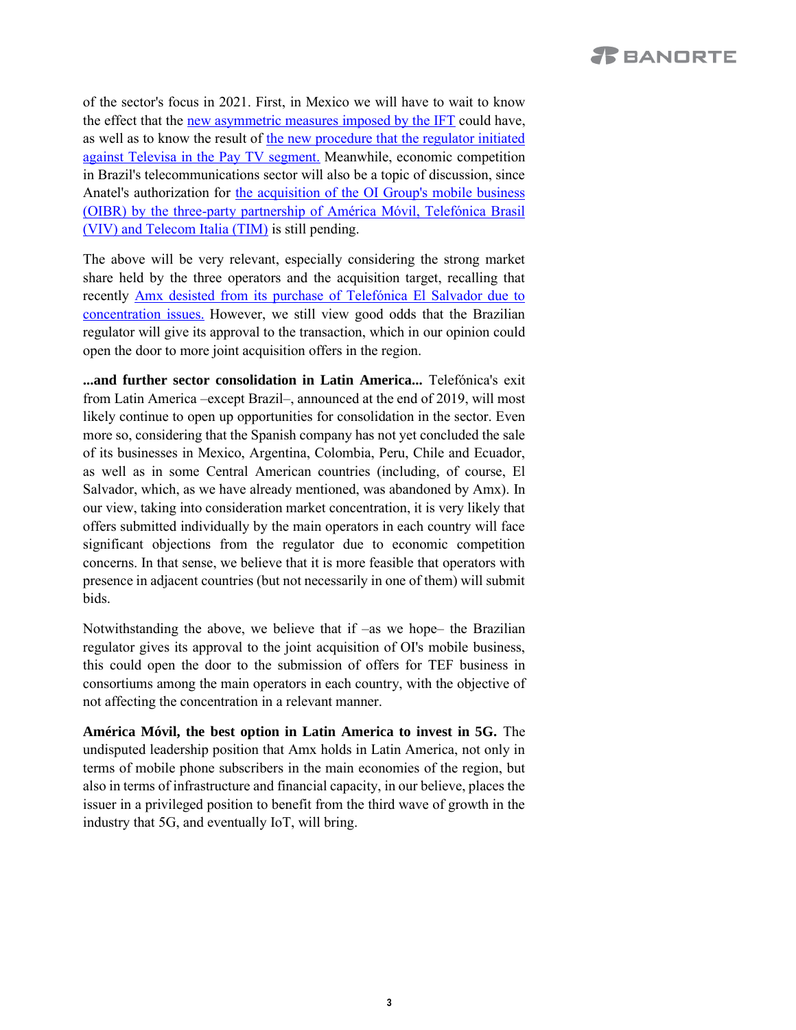of the sector's focus in 2021. First, in Mexico we will have to wait to know the effect that the [new asymmetric measures imposed by the IFT](https://www.banorte.com/cms/casadebolsabanorteixe/analisisyestrategia/analisisbursatil/Flash_AMX_IFT.pdf) could have, as well as to know the result of [the new procedure that the regulator initiated](https://www.banorte.com/cms/casadebolsabanorteixe/analisisyestrategia/analisisbursatil/Flash_Tlevisa_Cable%20IFT.pdf)  [against Televisa in the Pay TV segment.](https://www.banorte.com/cms/casadebolsabanorteixe/analisisyestrategia/analisisbursatil/Flash_Tlevisa_Cable%20IFT.pdf) Meanwhile, economic competition in Brazil's telecommunications sector will also be a topic of discussion, since Anatel's authorization for [the acquisition of the OI Group's mobile business](https://www.banorte.com/cms/casadebolsabanorteixe/analisisyestrategia/analisisbursatil/Flash_AMX_Winning_offer_OI.pdf)  [\(OIBR\) by the three-party partnership of América Móvil, Telefónica Brasil](https://www.banorte.com/cms/casadebolsabanorteixe/analisisyestrategia/analisisbursatil/Flash_AMX_Winning_offer_OI.pdf)  [\(VIV\) and Telecom Italia \(TIM\)](https://www.banorte.com/cms/casadebolsabanorteixe/analisisyestrategia/analisisbursatil/Flash_AMX_Winning_offer_OI.pdf) is still pending.

The above will be very relevant, especially considering the strong market share held by the three operators and the acquisition target, recalling that recently [Amx desisted from its purchase of Telefónica El Salvador due to](https://www.banorte.com/cms/casadebolsabanorteixe/analisisyestrategia/analisisbursatil/Flash_Amx_Cancellation_Telefonica_El_Salvador.pdf)  [concentration issues.](https://www.banorte.com/cms/casadebolsabanorteixe/analisisyestrategia/analisisbursatil/Flash_Amx_Cancellation_Telefonica_El_Salvador.pdf) However, we still view good odds that the Brazilian regulator will give its approval to the transaction, which in our opinion could open the door to more joint acquisition offers in the region.

**...and further sector consolidation in Latin America...** Telefónica's exit from Latin America –except Brazil–, announced at the end of 2019, will most likely continue to open up opportunities for consolidation in the sector. Even more so, considering that the Spanish company has not yet concluded the sale of its businesses in Mexico, Argentina, Colombia, Peru, Chile and Ecuador, as well as in some Central American countries (including, of course, El Salvador, which, as we have already mentioned, was abandoned by Amx). In our view, taking into consideration market concentration, it is very likely that offers submitted individually by the main operators in each country will face significant objections from the regulator due to economic competition concerns. In that sense, we believe that it is more feasible that operators with presence in adjacent countries (but not necessarily in one of them) will submit bids.

Notwithstanding the above, we believe that if –as we hope– the Brazilian regulator gives its approval to the joint acquisition of OI's mobile business, this could open the door to the submission of offers for TEF business in consortiums among the main operators in each country, with the objective of not affecting the concentration in a relevant manner.

**América Móvil, the best option in Latin America to invest in 5G.** The undisputed leadership position that Amx holds in Latin America, not only in terms of mobile phone subscribers in the main economies of the region, but also in terms of infrastructure and financial capacity, in our believe, places the issuer in a privileged position to benefit from the third wave of growth in the industry that 5G, and eventually IoT, will bring.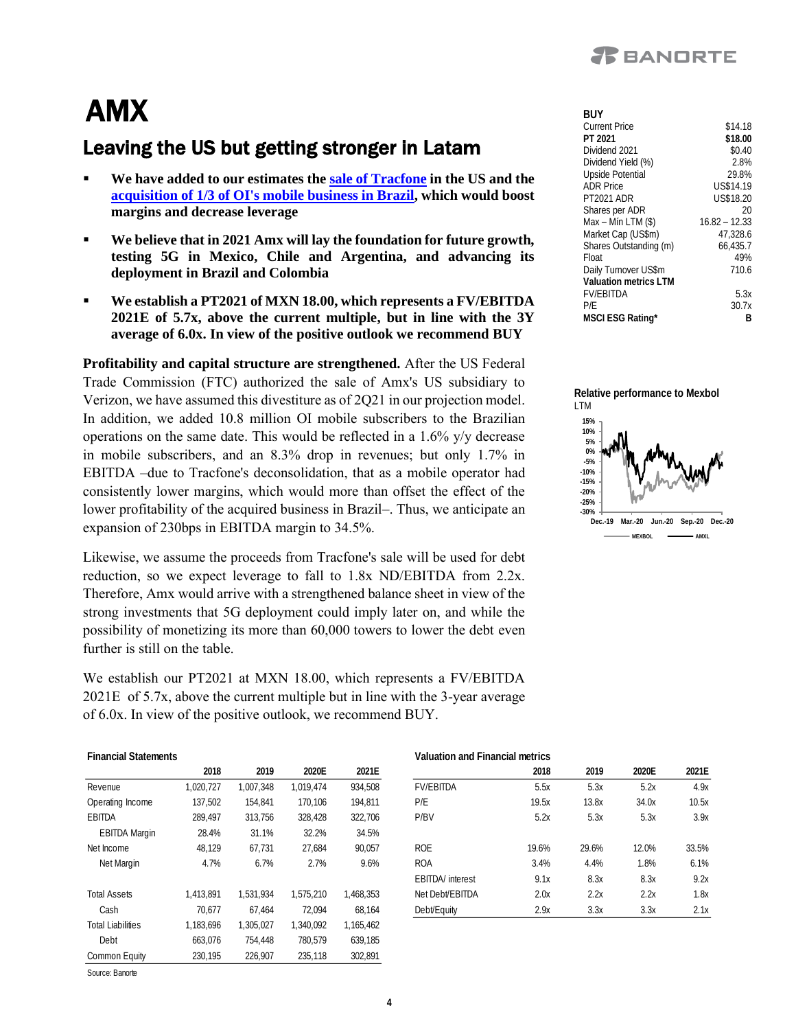

**BUY**

## AMX

### Leaving the US but getting stronger in Latam

- **We have added to our estimates the [sale of Tracfone](https://www.banorte.com/cms/casadebolsabanorteixe/analisisyestrategia/analisisbursatil/Flash_Amx_%20Sells_Tracfone.pdf) in the US and the [acquisition of 1/3 of OI's mobile business in Brazil,](https://www.banorte.com/cms/casadebolsabanorteixe/analisisyestrategia/analisisbursatil/Flash_AMX_Winning_offer_OI.pdf) which would boost margins and decrease leverage**
- We believe that in 2021 Amx will lay the foundation for future growth, **testing 5G in Mexico, Chile and Argentina, and advancing its deployment in Brazil and Colombia**
- We establish a PT2021 of MXN 18.00, which represents a FV/EBITDA **2021E of 5.7x, above the current multiple, but in line with the 3Y average of 6.0x. In view of the positive outlook we recommend BUY**

**Profitability and capital structure are strengthened.** After the US Federal Trade Commission (FTC) authorized the sale of Amx's US subsidiary to Verizon, we have assumed this divestiture as of 2Q21 in our projection model. In addition, we added 10.8 million OI mobile subscribers to the Brazilian operations on the same date. This would be reflected in a 1.6% y/y decrease in mobile subscribers, and an 8.3% drop in revenues; but only 1.7% in EBITDA –due to Tracfone's deconsolidation, that as a mobile operator had consistently lower margins, which would more than offset the effect of the lower profitability of the acquired business in Brazil–. Thus, we anticipate an expansion of 230bps in EBITDA margin to 34.5%.

Likewise, we assume the proceeds from Tracfone's sale will be used for debt reduction, so we expect leverage to fall to 1.8x ND/EBITDA from 2.2x. Therefore, Amx would arrive with a strengthened balance sheet in view of the strong investments that 5G deployment could imply later on, and while the possibility of monetizing its more than 60,000 towers to lower the debt even further is still on the table.

We establish our PT2021 at MXN 18.00, which represents a FV/EBITDA 2021E of 5.7x, above the current multiple but in line with the 3-year average of 6.0x. In view of the positive outlook, we recommend BUY.

| Financial Statements     |           |           |           |           |
|--------------------------|-----------|-----------|-----------|-----------|
|                          | 2018      | 2019      | 2020F     | 2021E     |
| Revenue                  | 1,020,727 | 1.007.348 | 1,019,474 | 934,508   |
| Operating Income         | 137,502   | 154.841   | 170.106   | 194,811   |
| <b>FBITDA</b>            | 289.497   | 313.756   | 328.428   | 322.706   |
| <b>EBITDA Margin</b>     | 28.4%     | 31.1%     | 32.2%     | 34.5%     |
| Net Income               | 48.129    | 67.731    | 27.684    | 90.057    |
| Net Margin               | 4.7%      | 6.7%      | 2.7%      | 9.6%      |
| <b>Total Assets</b>      | 1.413.891 | 1.531.934 | 1.575.210 | 1,468,353 |
| Cash                     | 70.677    | 67.464    | 72.094    | 68,164    |
| <b>Total Liabilities</b> | 1,183,696 | 1,305,027 | 1.340.092 | 1,165,462 |
| Debt                     | 663,076   | 754.448   | 780.579   | 639.185   |
| Common Equity            | 230.195   | 226.907   | 235.118   | 302.891   |

Source: Banorte

| Current Price          | \$14.18         |
|------------------------|-----------------|
| PT 2021                | \$18.00         |
| Dividend 2021          | \$0.40          |
| Dividend Yield (%)     | 2.8%            |
| Upside Potential       | 29.8%           |
| <b>ADR Price</b>       | US\$14.19       |
| <b>PT2021 ADR</b>      | US\$18.20       |
| Shares per ADR         | 20              |
| Max - Mín LTM (\$)     | $16.82 - 12.33$ |
| Market Cap (US\$m)     | 47.328.6        |
| Shares Outstanding (m) | 66.435.7        |
| Float                  | 49%             |
| Daily Turnover US\$m   | 710.6           |
| Valuation metrics I TM |                 |
| <b>FV/FBITDA</b>       | 5.3x            |
| P/E                    | 30.7x           |
| MSCI ESG Rating*       | В               |



|                      | 2018      | 2019      | 2020E     | 2021E     |                          | 2018  | 2019  | 2020E | 2021E |
|----------------------|-----------|-----------|-----------|-----------|--------------------------|-------|-------|-------|-------|
| Revenue              | 1,020,727 | 1,007,348 | 1.019.474 | 934,508   | <b>FV/FBITDA</b>         | 5.5x  | 5.3x  | 5.2x  | 4.9x  |
| Operating Income     | 137,502   | 154.841   | 170,106   | 194.811   | P/E                      | 19.5x | 13.8x | 34.0x | 10.5x |
| EBITDA               | 289.497   | 313.756   | 328,428   | 322.706   | P/BV                     | 5.2x  | 5.3x  | 5.3x  | 3.9x  |
| <b>EBITDA Margin</b> | 28.4%     | 31.1%     | 32.2%     | 34.5%     |                          |       |       |       |       |
| Net Income           | 48.129    | 67.731    | 27.684    | 90.057    | <b>ROE</b>               | 19.6% | 29.6% | 12.0% | 33.5% |
| Net Margin           | 4.7%      | 6.7%      | 2.7%      | 9.6%      | <b>ROA</b>               | 3.4%  | 4.4%  | 1.8%  | 6.1%  |
|                      |           |           |           |           | <b>EBITDA</b> / interest | 9.1x  | 8.3x  | 8.3x  | 9.2x  |
| <b>Total Assets</b>  | 1,413,891 | 1.531.934 | 1.575.210 | 1,468,353 | Net Debt/EBITDA          | 2.0x  | 2.2x  | 2.2x  | 1.8x  |
| Cash                 | 70.677    | 67.464    | 72.094    | 68.164    | Debt/Equity              | 2.9x  | 3.3x  | 3.3x  | 2.1x  |
|                      |           |           |           |           |                          |       |       |       |       |

**Financial Statements Valuation and Financial metrics**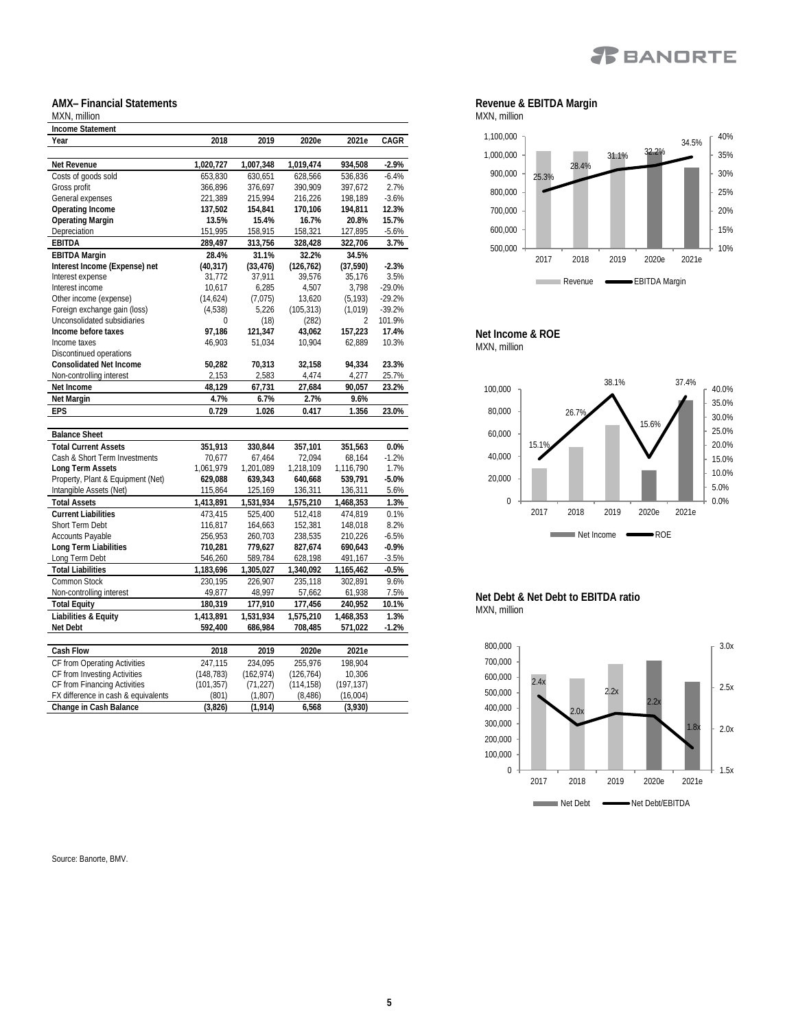

#### **AMX– Financial Statements**

#### MXN, million **Income Statement Year 2018 2019 2020e 2021e CAGR Net Revenue 1,020,727 1,007,348 1,019,474 934,508 -2.9%** Costs of goods sold 653,830 630,651 628,566 536,836 -6.4% Gross profit 366,896 376,697 390,909 397,672 2.7% General expenses 221,389 215,994 216,226 198,189 -3.6%<br>
Operating Income 137,502 154,841 170,106 194,811 12.3% **Operating Income 137,502 154,841 170,106 194,811 12.3% Operating Margin 13.5% 15.4% 16.7% 20.8% 15.7%** Depreciation **EBITDA 289,497 313,756 328,428 322,706 3.7% EBITDA Margin 28.4% 31.1% 32.2% 34.5% Interest Income (Expense) net (40,317) (33,476) (126,762) (37,590) -2.3%** Interest expense 31,772 37,911 39,576 35,176 3.5% Interest income (expense) 10,617 6,285 4,507 3,798 -29.0%<br>
Other income (expense) (14,624) (7,075) 13,620 (5,193) -29.2% Other income (expense)  $(14,624)$   $(7,075)$   $13,620$   $(5,193)$  -29.2%<br>
Foreign exchange gain (loss)  $(4,538)$   $5,226$   $(105,313)$   $(1,019)$  -39.2% Foreign exchange gain (loss) (4,538) 5,226 (105,313) (1,019) -39.2% Unconsolidated subsidiaries <br>
11 121,347 13,062 157,223<br>
121,347 13,062 157,223 **Income before taxes 97,186 121,347 43,062 157,223 17.4%** Income taxes 46,903 51,034 10,904 62,889 10.3% Discontinued operations **Consolidated Net Income 50,282 70,313 32,158 94,334 23.3%** Non-controlling interest **Net Income 48,129 67,731 27,684 90,057 23.2% 1.7% 6.7% 2.7% 9.6%**<br> **4.7% 6.7% 2.7% 9.6%**<br> **4.729 1.026 0.417 1.35 EPS 0.729 1.026 0.417 1.356 23.0% Balance Sheet Total Current Assets 351,913 330,844 357,101 351,563 0.0%** Cash & Short Term Investments 70,677 67,464 72,094 68,164<br>
Long Term Assets 1,061,979 1,201,089 1.218,109 1.116.790 **Long Term Assets** 1,061,979 1,201,089 1,218,109 1,116,790 1.7% Property, Plant & Equipment (Net) **629,088 639,343 640,668 539,791 -5.0%** Intangible Assets (Net) 115,864 125,169 136,311 136,311 136,311 5.6%<br>
Total Assets 1,413,891 1,531,934 1,575,210 1,468,353 1.3% **Total Assets 1,413,891 1,531,934 1,575,210 1,468,353 1.3% Current Liabilities** 473,415 525,400 512,418 474,819 0.1% Short Term Debt 116,817 164,663 152,381 148,018 8.2%<br>
Accounts Payable 116,953 260,703 238,535 210,226 -6.5% Accounts Payable 256,953 260,703 238,535 210,226 -6.5%<br>1979.627 827.674 690.643 0.9% **Long Term Liabilities 710,281 779,627 827,674 690,643 -0.9%** Long Term Debt **Total Liabilities 1,183,696 1,305,027 1,340,092 1,165,462 -0.5%** Common Stock 230,195 226,907 235,118 302,891 9.6%

Non-controlling interest 49,877 48,997 57,662 61,938 7.5% **Total Equity 180,319 177,910 177,456 240,952 10.1% Liabilities & Equity 1,413,891 1,531,934 1,575,210 1,468,353 1.3% Net Debt 592,400 686,984 708,485 571,022 -1.2%**

**Cash Flow 2018 2019 2020e 2021e** CF from Operating Activities 247,115 234,095 255,976 198,904<br>CF from Investing Activities (148,783) (162,974) (126,764) 10,306 CF from Investing Activities (148,783) (162,974) (126,764) 10,306<br>CF from Financing Activities (101,357) (71,227) (114.158) (197.137)

FX difference in cash & equivalents (801) (1,807) (8,486) (16,004)<br>Change in Cash Balance (3,826) (1,914) 6,568 (3,930) **Change in Cash Balance (3,826) (1,914) 6,568 (3,930)**

| Source: Banorte, BMV |  |
|----------------------|--|

CF from Financing Activities





#### **Net Income & ROE** MXN, million



**Net Debt & Net Debt to EBITDA ratio** MXN, million

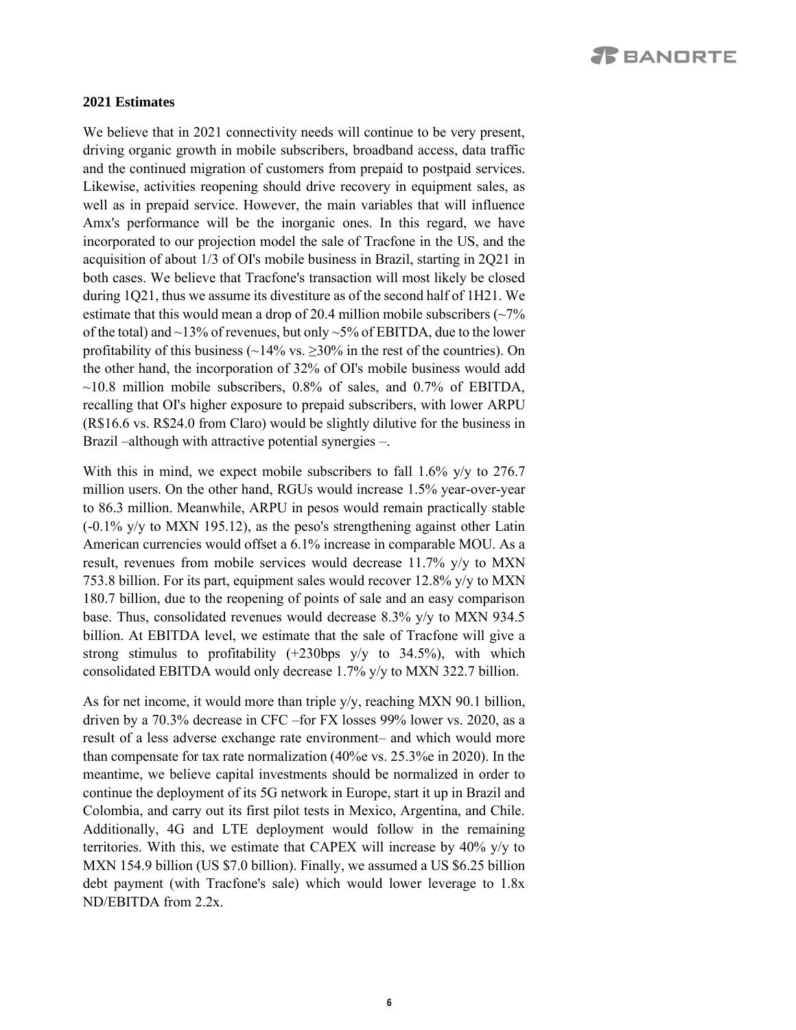#### **2021 Estimates**

We believe that in 2021 connectivity needs will continue to be very present, driving organic growth in mobile subscribers, broadband access, data traffic and the continued migration of customers from prepaid to postpaid services. Likewise, activities reopening should drive recovery in equipment sales, as well as in prepaid service. However, the main variables that will influence Amx's performance will be the inorganic ones. In this regard, we have incorporated to our projection model the sale of Tracfone in the US, and the acquisition of about 1/3 of OI's mobile business in Brazil, starting in 2Q21 in both cases. We believe that Tracfone's transaction will most likely be closed during 1Q21, thus we assume its divestiture as of the second half of 1H21. We estimate that this would mean a drop of 20.4 million mobile subscribers  $\left(\sim 7\% \right)$ of the total) and ~13% of revenues, but only ~5% of EBITDA, due to the lower profitability of this business ( $\sim$ 14% vs.  $\geq$ 30% in the rest of the countries). On the other hand, the incorporation of 32% of OI's mobile business would add  $\sim$ 10.8 million mobile subscribers, 0.8% of sales, and 0.7% of EBITDA, recalling that OI's higher exposure to prepaid subscribers, with lower ARPU (R\$16.6 vs. R\$24.0 from Claro) would be slightly dilutive for the business in Brazil –although with attractive potential synergies –.

With this in mind, we expect mobile subscribers to fall 1.6% y/y to 276.7 million users. On the other hand, RGUs would increase 1.5% year-over-year to 86.3 million. Meanwhile, ARPU in pesos would remain practically stable (-0.1% y/y to MXN 195.12), as the peso's strengthening against other Latin American currencies would offset a 6.1% increase in comparable MOU. As a result, revenues from mobile services would decrease 11.7% y/y to MXN 753.8 billion. For its part, equipment sales would recover 12.8% y/y to MXN 180.7 billion, due to the reopening of points of sale and an easy comparison base. Thus, consolidated revenues would decrease 8.3% y/y to MXN 934.5 billion. At EBITDA level, we estimate that the sale of Tracfone will give a strong stimulus to profitability  $(+230$ bps  $y/y$  to  $34.5\%$ ), with which consolidated EBITDA would only decrease 1.7% y/y to MXN 322.7 billion.

As for net income, it would more than triple y/y, reaching MXN 90.1 billion, driven by a 70.3% decrease in CFC –for FX losses 99% lower vs. 2020, as a result of a less adverse exchange rate environment– and which would more than compensate for tax rate normalization (40%e vs. 25.3%e in 2020). In the meantime, we believe capital investments should be normalized in order to continue the deployment of its 5G network in Europe, start it up in Brazil and Colombia, and carry out its first pilot tests in Mexico, Argentina, and Chile. Additionally, 4G and LTE deployment would follow in the remaining territories. With this, we estimate that CAPEX will increase by 40% y/y to MXN 154.9 billion (US \$7.0 billion). Finally, we assumed a US \$6.25 billion debt payment (with Tracfone's sale) which would lower leverage to 1.8x ND/EBITDA from 2.2x.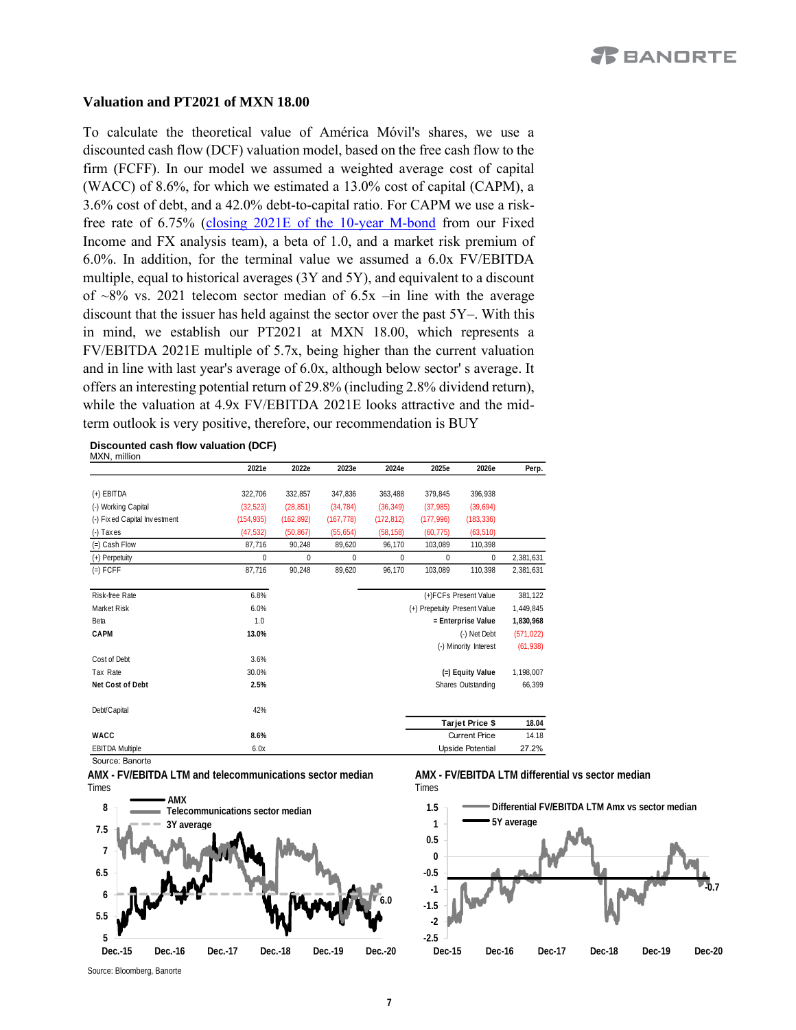#### **Valuation and PT2021 of MXN 18.00**

To calculate the theoretical value of América Móvil's shares, we use a discounted cash flow (DCF) valuation model, based on the free cash flow to the firm (FCFF). In our model we assumed a weighted average cost of capital (WACC) of 8.6%, for which we estimated a 13.0% cost of capital (CAPM), a 3.6% cost of debt, and a 42.0% debt-to-capital ratio. For CAPM we use a riskfree rate of 6.75% [\(closing 2021E of the 10-year M-bond](https://www.banorte.com/cms/casadebolsabanorteixe/analisisyestrategia/analisiseconomico/mexico/20201019_4Q20_Outlook.pdf) from our Fixed Income and FX analysis team), a beta of 1.0, and a market risk premium of 6.0%. In addition, for the terminal value we assumed a 6.0x FV/EBITDA multiple, equal to historical averages (3Y and 5Y), and equivalent to a discount of  $\sim 8\%$  vs. 2021 telecom sector median of 6.5x –in line with the average discount that the issuer has held against the sector over the past 5Y–. With this in mind, we establish our PT2021 at MXN 18.00, which represents a FV/EBITDA 2021E multiple of 5.7x, being higher than the current valuation and in line with last year's average of 6.0x, although below sector' s average. It offers an interesting potential return of 29.8% (including 2.8% dividend return), while the valuation at 4.9x FV/EBITDA 2021E looks attractive and the midterm outlook is very positive, therefore, our recommendation is BUY

**Discounted cash flow valuation (DCF)** MXN, million

|                              | 2021e       | 2022e      | 2023e        | 2024e                        | 2025e        | 2026e                   | Perp.      |
|------------------------------|-------------|------------|--------------|------------------------------|--------------|-------------------------|------------|
|                              |             |            |              |                              |              |                         |            |
| (+) EBITDA                   | 322,706     | 332,857    | 347,836      | 363,488                      | 379,845      | 396,938                 |            |
| (-) Working Capital          | (32, 523)   | (28, 851)  | (34, 784)    | (36, 349)                    | (37, 985)    | (39,694)                |            |
| (-) Fixed Capital Investment | (154, 935)  | (162, 892) | (167, 778)   | (172, 812)                   | (177,996)    | (183, 336)              |            |
| $(-)$ Taxes                  | (47, 532)   | (50, 867)  | (55, 654)    | (58, 158)                    | (60, 775)    | (63, 510)               |            |
| $(=)$ Cash Flow              | 87,716      | 90,248     | 89,620       | 96,170                       | 103,089      | 110,398                 |            |
| (+) Perpetuity               | $\mathbf 0$ | 0          | $\mathbf{0}$ | 0                            | $\mathbf{0}$ | 0                       | 2,381,631  |
| $(=)$ FCFF                   | 87.716      | 90,248     | 89.620       | 96.170                       | 103.089      | 110.398                 | 2,381,631  |
| Risk-free Rate               | 6.8%        |            |              |                              |              | (+)FCFs Present Value   | 381,122    |
| Market Risk                  | 6.0%        |            |              | (+) Prepetuity Present Value |              |                         | 1,449,845  |
| Beta                         | 1.0         |            |              | = Enterprise Value           |              |                         | 1,830,968  |
| CAPM                         | 13.0%       |            |              |                              |              | (-) Net Debt            | (571, 022) |
|                              |             |            |              |                              |              | (-) Minority Interest   | (61, 938)  |
| Cost of Debt                 | 3.6%        |            |              |                              |              |                         |            |
| Tax Rate                     | 30.0%       |            |              |                              |              | (=) Equity Value        | 1,198,007  |
| Net Cost of Debt             | 2.5%        |            |              |                              |              | Shares Outstanding      | 66,399     |
| Debt/Capital                 | 42%         |            |              |                              |              |                         |            |
|                              |             |            |              |                              |              | Tarjet Price \$         | 18.04      |
| WACC                         | 8.6%        |            |              |                              |              | <b>Current Price</b>    | 14.18      |
| <b>EBITDA Multiple</b>       | 6.0x        |            |              |                              |              | <b>Upside Potential</b> | 27.2%      |

Source: Banorte

**AMX - FV/EBITDA LTM and telecommunications sector median** Times







Source: Bloomberg, Banorte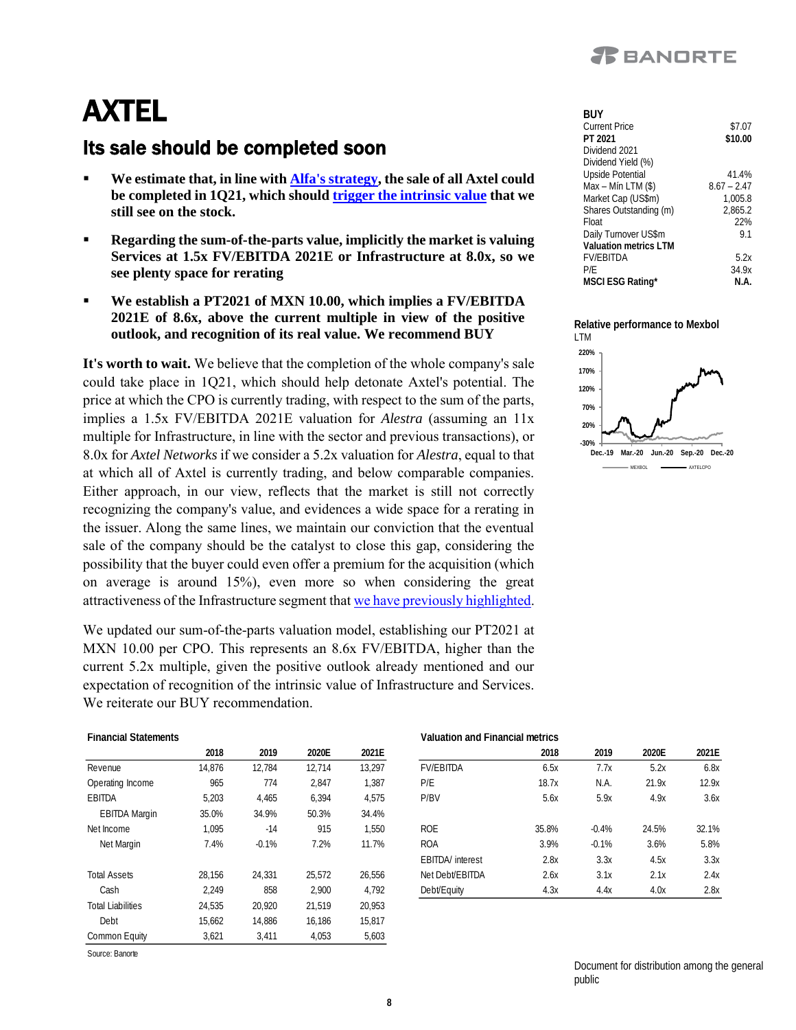

**BUY**

## AXTEL

### Its sale should be completed soon

- We estimate that, in line with **Alfa's strategy**, the sale of all Axtel could **be completed in 1Q21, which should [trigger the intrinsic value](https://www.banorte.com/cms/casadebolsabanorteixe/analisisyestrategia/analisisbursatil/AXTEL_PT2020_UPDATE.pdf) that we still see on the stock.**
- **Regarding the sum-of-the-parts value, implicitly the market is valuing Services at 1.5x FV/EBITDA 2021E or Infrastructure at 8.0x, so we see plenty space for rerating**
- We establish a PT2021 of MXN 10.00, which implies a FV/EBITDA **2021E of 8.6x, above the current multiple in view of the positive outlook, and recognition of its real value. We recommend BUY**

**It's worth to wait.** We believe that the completion of the whole company's sale could take place in 1Q21, which should help detonate Axtel's potential. The price at which the CPO is currently trading, with respect to the sum of the parts, implies a 1.5x FV/EBITDA 2021E valuation for *Alestra* (assuming an 11x multiple for Infrastructure, in line with the sector and previous transactions), or 8.0x for *Axtel Networks* if we consider a 5.2x valuation for *Alestra*, equal to that at which all of Axtel is currently trading, and below comparable companies. Either approach, in our view, reflects that the market is still not correctly recognizing the company's value, and evidences a wide space for a rerating in the issuer. Along the same lines, we maintain our conviction that the eventual sale of the company should be the catalyst to close this gap, considering the possibility that the buyer could even offer a premium for the acquisition (which on average is around 15%), even more so when considering the great attractiveness of the Infrastructure segment that [we have previously highlighted.](https://www.banorte.com/cms/casadebolsabanorteixe/analisisyestrategia/analisisbursatil/PT2020_AXTEL.pdf)

We updated our sum-of-the-parts valuation model, establishing our PT2021 at MXN 10.00 per CPO. This represents an 8.6x FV/EBITDA, higher than the current 5.2x multiple, given the positive outlook already mentioned and our expectation of recognition of the intrinsic value of Infrastructure and Services. We reiterate our BUY recommendation.

| 1 J J J T              |               |
|------------------------|---------------|
| Current Price          | \$7.07        |
| PT 2021                | \$10.00       |
| Dividend 2021          |               |
| Dividend Yield (%)     |               |
| Upside Potential       | 41.4%         |
| Max - Mín LTM (\$)     | $8.67 - 2.47$ |
| Market Cap (US\$m)     | 1.005.8       |
| Shares Outstanding (m) | 2,865.2       |
| Float                  | 22%           |
| Daily Turnover US\$m   | 91            |
| Valuation metrics I TM |               |
| <b>FV/EBITDA</b>       | 5.2x          |
| P/F                    | 34.9x         |
| MSCI ESG Rating*       | N.A.          |
|                        |               |

**Relative performance to Mexbol** LTM



| т інаныагэтагыны кэ      |        |         |        |        |
|--------------------------|--------|---------|--------|--------|
|                          | 2018   | 2019    | 2020E  | 2021E  |
| Revenue                  | 14.876 | 12,784  | 12.714 | 13.297 |
| Operating Income         | 965    | 774     | 2.847  | 1,387  |
| <b>FBITDA</b>            | 5,203  | 4,465   | 6.394  | 4,575  |
| <b>EBITDA Margin</b>     | 35.0%  | 34.9%   | 50.3%  | 34.4%  |
| Net Income               | 1.095  | $-14$   | 915    | 1,550  |
| Net Margin               | 7.4%   | $-0.1%$ | 7.2%   | 11.7%  |
| <b>Total Assets</b>      | 28,156 | 24.331  | 25,572 | 26,556 |
| Cash                     | 2,249  | 858     | 2,900  | 4,792  |
| <b>Total Liabilities</b> | 24,535 | 20,920  | 21,519 | 20,953 |
| Debt                     | 15,662 | 14,886  | 16,186 | 15,817 |
| Common Equity            | 3.621  | 3.411   | 4,053  | 5.603  |

Source: Banorte

#### **Financial Statements Valuation and Financial metrics**

|                      | 2018   | 2019    | 2020E  | 2021E  |                          | 2018  | 2019    | 2020E | 2021E |
|----------------------|--------|---------|--------|--------|--------------------------|-------|---------|-------|-------|
| Revenue              | 14.876 | 12.784  | 12.714 | 13.297 | <b>FV/EBITDA</b>         | 6.5x  | 7.7x    | 5.2x  | 6.8x  |
| Operating Income     | 965    | 774     | 2,847  | 1,387  | P/E                      | 18.7x | N.A.    | 21.9x | 12.9x |
| EBITDA               | 5,203  | 4,465   | 6,394  | 4,575  | P/BV                     | 5.6x  | 5.9x    | 4.9x  | 3.6x  |
| <b>EBITDA Margin</b> | 35.0%  | 34.9%   | 50.3%  | 34.4%  |                          |       |         |       |       |
| Net Income           | .095   | $-14$   | 915    | 1.550  | <b>ROE</b>               | 35.8% | $-0.4%$ | 24.5% | 32.1% |
| Net Margin           | 7.4%   | $-0.1%$ | 7.2%   | 11.7%  | <b>ROA</b>               | 3.9%  | $-0.1%$ | 3.6%  | 5.8%  |
|                      |        |         |        |        | <b>EBITDA</b> / interest | 2.8x  | 3.3x    | 4.5x  | 3.3x  |
| <b>Total Assets</b>  | 28.156 | 24.331  | 25.572 | 26.556 | Net Debt/EBITDA          | 2.6x  | 3.1x    | 2.1x  | 2.4x  |
| Cash                 | 2,249  | 858     | 2,900  | 4,792  | Debt/Equity              | 4.3x  | 4.4x    | 4.0x  | 2.8x  |

Document for distribution among the general public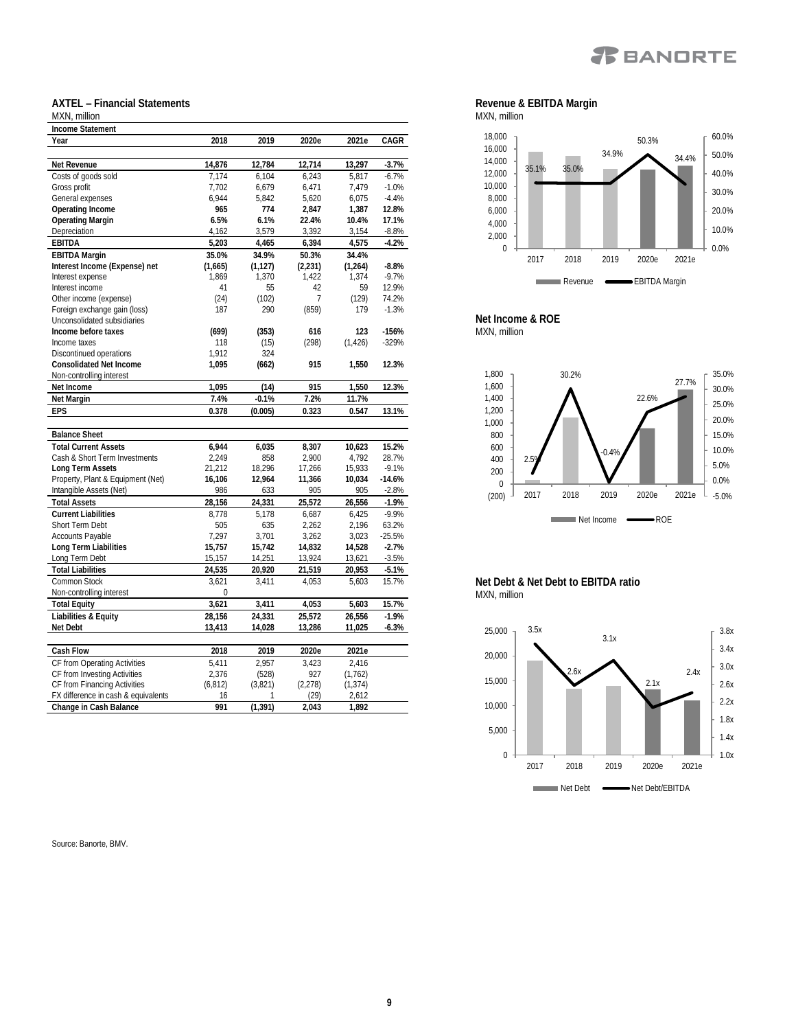

#### **AXTEL – Financial Statements** MXN, million

| IVIAIN, HIIIIIUH                    |          |          |                |          |          |
|-------------------------------------|----------|----------|----------------|----------|----------|
| Income Statement                    |          |          |                |          |          |
| Year                                | 2018     | 2019     | 2020e          | 2021e    | CAGR     |
|                                     |          |          |                |          |          |
| Net Revenue                         | 14,876   | 12,784   | 12,714         | 13,297   | $-3.7%$  |
| Costs of goods sold                 | 7.174    | 6,104    | 6,243          | 5.817    | $-6.7%$  |
| Gross profit                        | 7.702    | 6.679    | 6.471          | 7.479    | $-1.0%$  |
| General expenses                    | 6,944    | 5,842    | 5,620          | 6,075    | $-4.4%$  |
| Operating Income                    | 965      | 774      | 2,847          | 1,387    | 12.8%    |
| Operating Margin                    | 6.5%     | 6.1%     | 22.4%          | 10.4%    | 17.1%    |
| Depreciation                        | 4,162    | 3,579    | 3,392          | 3,154    | $-8.8\%$ |
| <b>EBITDA</b>                       | 5,203    | 4,465    | 6,394          | 4,575    | $-4.2%$  |
| <b>EBITDA Margin</b>                | 35.0%    | 34.9%    | 50.3%          | 34.4%    |          |
| Interest Income (Expense) net       | (1,665)  | (1, 127) | (2, 231)       | (1, 264) | $-8.8%$  |
| Interest expense                    | 1,869    | 1,370    | 1,422          | 1,374    | $-9.7%$  |
| Interest income                     | 41       | 55       | 42             | 59       | 12.9%    |
| Other income (expense)              | (24)     | (102)    | $\overline{7}$ | (129)    | 74.2%    |
| Foreign exchange gain (loss)        | 187      | 290      | (859)          | 179      | $-1.3%$  |
| Unconsolidated subsidiaries         |          |          |                |          |          |
| Income before taxes                 | (699)    | (353)    | 616            | 123      | $-156%$  |
| Income taxes                        | 118      | (15)     | (298)          | (1, 426) | $-329%$  |
| Discontinued operations             | 1,912    | 324      |                |          |          |
| Consolidated Net Income             | 1.095    | (662)    | 915            | 1,550    | 12.3%    |
| Non-controlling interest            |          |          |                |          |          |
| Net Income                          | 1,095    | (14)     | 915            | 1,550    | 12.3%    |
| Net Margin                          | 7.4%     | $-0.1%$  | 7.2%           | 11.7%    |          |
| EPS                                 | 0.378    | (0.005)  | 0.323          | 0.547    | 13.1%    |
|                                     |          |          |                |          |          |
| <b>Balance Sheet</b>                |          |          |                |          |          |
| <b>Total Current Assets</b>         | 6.944    | 6,035    | 8,307          | 10,623   | 15.2%    |
| Cash & Short Term Investments       | 2.249    | 858      | 2,900          | 4,792    | 28.7%    |
| Long Term Assets                    | 21,212   | 18,296   | 17,266         | 15,933   | $-9.1%$  |
| Property, Plant & Equipment (Net)   | 16,106   | 12,964   | 11,366         | 10,034   | $-14.6%$ |
| Intangible Assets (Net)             | 986      | 633      | 905            | 905      | $-2.8%$  |
| <b>Total Assets</b>                 | 28,156   | 24,331   | 25,572         | 26,556   | $-1.9%$  |
| Current Liabilities                 | 8,778    | 5,178    | 6,687          | 6,425    | $-9.9%$  |
| Short Term Debt                     | 505      | 635      | 2.262          | 2.196    | 63.2%    |
| Accounts Payable                    | 7,297    | 3,701    | 3,262          | 3,023    | $-25.5%$ |
| Long Term Liabilities               | 15,757   | 15,742   | 14,832         | 14,528   | $-2.7%$  |
| Long Term Debt                      | 15,157   | 14,251   | 13,924         | 13,621   | $-3.5%$  |
| <b>Total Liabilities</b>            | 24,535   | 20,920   | 21,519         | 20,953   | $-5.1%$  |
| Common Stock                        | 3,621    | 3,411    | 4,053          | 5,603    | 15.7%    |
| Non-controlling interest            | 0        |          |                |          |          |
| Total Equity                        | 3,621    | 3,411    | 4,053          | 5,603    | 15.7%    |
| Liabilities & Equity                | 28.156   | 24.331   | 25.572         | 26.556   | $-1.9%$  |
| Net Debt                            | 13,413   | 14,028   | 13,286         | 11,025   | $-6.3%$  |
|                                     |          |          |                |          |          |
| Cash Flow                           | 2018     | 2019     | 2020e          | 2021e    |          |
| CF from Operating Activities        | 5,411    | 2,957    | 3,423          | 2,416    |          |
| CF from Investing Activities        | 2,376    | (528)    | 927            | (1,762)  |          |
| CF from Financing Activities        | (6, 812) | (3,821)  | (2, 278)       | (1, 374) |          |
| FX difference in cash & equivalents | 16       | 1        | (29)           | 2,612    |          |
| Change in Cash Balance              | 991      | (1, 391) | 2.043          | 1,892    |          |
|                                     |          |          |                |          |          |

Source: Banorte, BMV.

**Revenue & EBITDA Margin** MXN, million



**Net Income & ROE** MXN, million



**Net Debt & Net Debt to EBITDA ratio** MXN, million

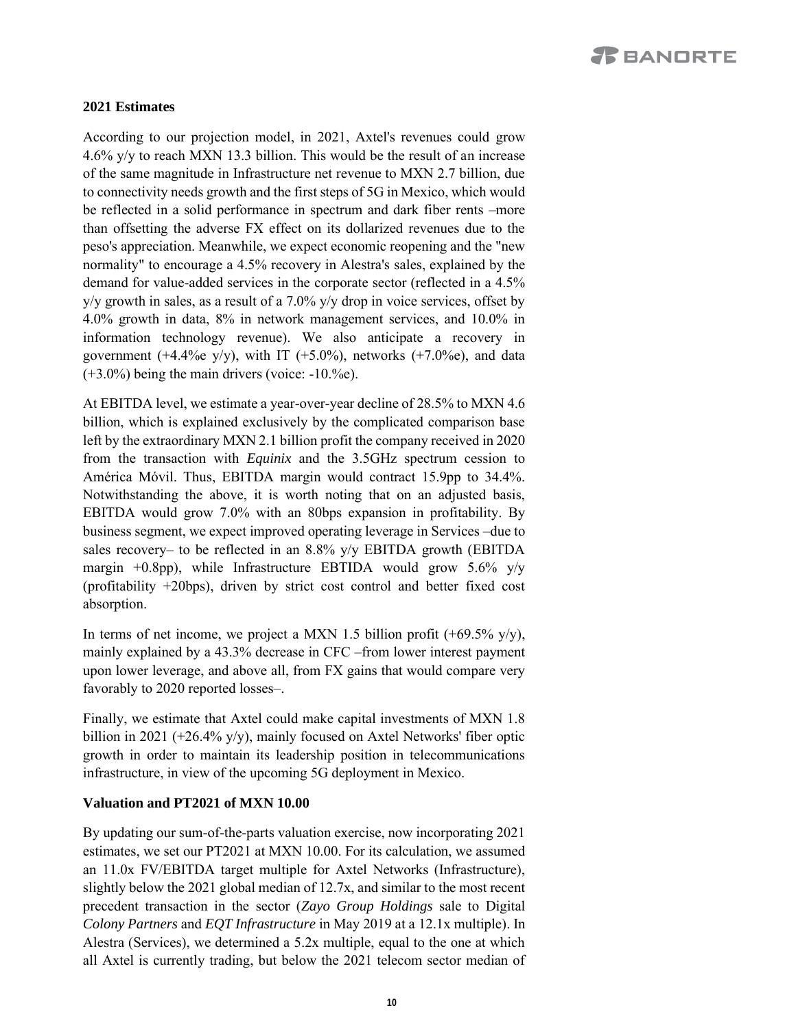#### **2021 Estimates**

According to our projection model, in 2021, Axtel's revenues could grow 4.6% y/y to reach MXN 13.3 billion. This would be the result of an increase of the same magnitude in Infrastructure net revenue to MXN 2.7 billion, due to connectivity needs growth and the first steps of 5G in Mexico, which would be reflected in a solid performance in spectrum and dark fiber rents –more than offsetting the adverse FX effect on its dollarized revenues due to the peso's appreciation. Meanwhile, we expect economic reopening and the "new normality" to encourage a 4.5% recovery in Alestra's sales, explained by the demand for value-added services in the corporate sector (reflected in a 4.5%  $y/y$  growth in sales, as a result of a 7.0%  $y/y$  drop in voice services, offset by 4.0% growth in data, 8% in network management services, and 10.0% in information technology revenue). We also anticipate a recovery in government (+4.4%e y/y), with IT (+5.0%), networks (+7.0%e), and data  $(+3.0\%)$  being the main drivers (voice:  $-10.%$ e).

At EBITDA level, we estimate a year-over-year decline of 28.5% to MXN 4.6 billion, which is explained exclusively by the complicated comparison base left by the extraordinary MXN 2.1 billion profit the company received in 2020 from the transaction with *Equinix* and the 3.5GHz spectrum cession to América Móvil. Thus, EBITDA margin would contract 15.9pp to 34.4%. Notwithstanding the above, it is worth noting that on an adjusted basis, EBITDA would grow 7.0% with an 80bps expansion in profitability. By business segment, we expect improved operating leverage in Services –due to sales recovery– to be reflected in an 8.8% y/y EBITDA growth (EBITDA margin  $+0.8$ pp), while Infrastructure EBTIDA would grow 5.6% y/y (profitability +20bps), driven by strict cost control and better fixed cost absorption.

In terms of net income, we project a MXN 1.5 billion profit  $(+69.5\% \text{ y/y})$ , mainly explained by a 43.3% decrease in CFC –from lower interest payment upon lower leverage, and above all, from FX gains that would compare very favorably to 2020 reported losses–.

Finally, we estimate that Axtel could make capital investments of MXN 1.8 billion in 2021 (+26.4% y/y), mainly focused on Axtel Networks' fiber optic growth in order to maintain its leadership position in telecommunications infrastructure, in view of the upcoming 5G deployment in Mexico.

#### **Valuation and PT2021 of MXN 10.00**

By updating our sum-of-the-parts valuation exercise, now incorporating 2021 estimates, we set our PT2021 at MXN 10.00. For its calculation, we assumed an 11.0x FV/EBITDA target multiple for Axtel Networks (Infrastructure), slightly below the 2021 global median of 12.7x, and similar to the most recent precedent transaction in the sector (*Zayo Group Holdings* sale to Digital *Colony Partners* and *EQT Infrastructure* in May 2019 at a 12.1x multiple). In Alestra (Services), we determined a 5.2x multiple, equal to the one at which all Axtel is currently trading, but below the 2021 telecom sector median of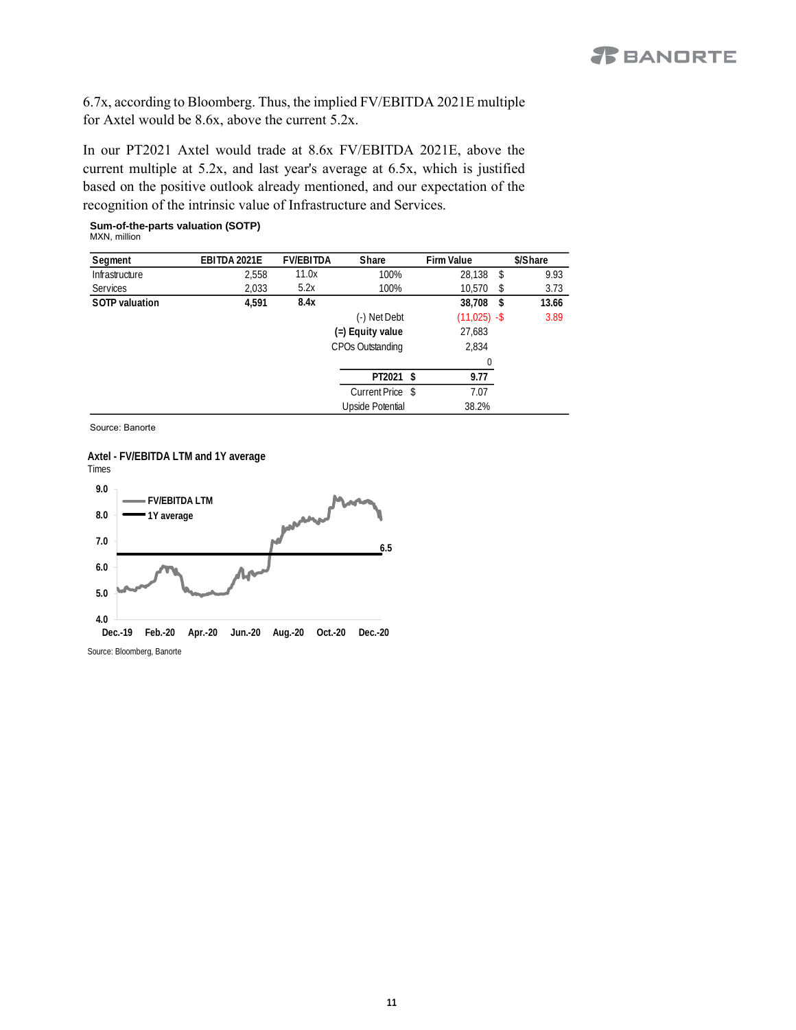6.7x, according to Bloomberg. Thus, the implied FV/EBITDA 2021E multiple for Axtel would be 8.6x, above the current 5.2x.

In our PT2021 Axtel would trade at 8.6x FV/EBITDA 2021E, above the current multiple at 5.2x, and last year's average at 6.5x, which is justified based on the positive outlook already mentioned, and our expectation of the recognition of the intrinsic value of Infrastructure and Services.

#### **Sum-of-the-parts valuation (SOTP)** MXN, million

| Segment         | EBITDA 2021E | <b>FV/EBITDA</b> | Share            | Firm Value     | \$/Share    |
|-----------------|--------------|------------------|------------------|----------------|-------------|
| Infrastructure  | 2,558        | 11.0x            | 100%             | 28,138         | 9.93<br>\$  |
| <b>Services</b> | 2,033        | 5.2x             | 100%             | 10.570         | 3.73<br>S   |
| SOTP valuation  | 4,591        | 8.4x             |                  | 38,708         | 13.66<br>\$ |
|                 |              |                  | (-) Net Debt     | $(11,025) - $$ | 3.89        |
|                 |              |                  | (=) Equity value | 27,683         |             |
|                 |              |                  | CPOs Outstanding | 2,834          |             |
|                 |              |                  |                  |                |             |
|                 |              |                  | PT2021 \$        | 9.77           |             |
|                 |              |                  | Current Price \$ | 7.07           |             |
|                 |              |                  | Upside Potential | 38.2%          |             |

Source: Banorte



Source: Bloomberg, Banorte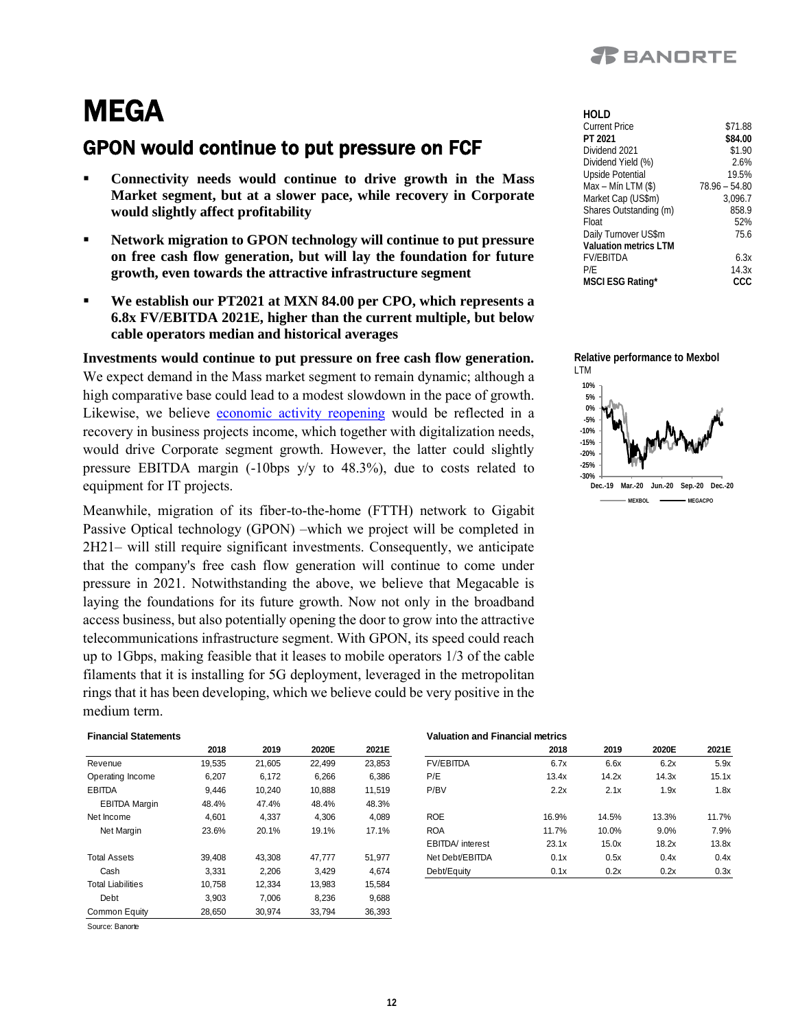

## **MEGA**

### GPON would continue to put pressure on FCF

- Connectivity needs would continue to drive growth in the Mass **Market segment, but at a slower pace, while recovery in Corporate would slightly affect profitability**
- Network migration to GPON technology will continue to put pressure **on free cash flow generation, but will lay the foundation for future growth, even towards the attractive infrastructure segment**
- We establish our PT2021 at MXN 84.00 per CPO, which represents a **6.8x FV/EBITDA 2021E, higher than the current multiple, but below cable operators median and historical averages**

**Investments would continue to put pressure on free cash flow generation.** We expect demand in the Mass market segment to remain dynamic; although a high comparative base could lead to a modest slowdown in the pace of growth. Likewise, we believe [economic activity reopening](https://www.banorte.com/cms/casadebolsabanorteixe/analisisyestrategia/analisiseconomico/mexico/20201019_4Q20_Outlook.pdf) would be reflected in a recovery in business projects income, which together with digitalization needs, would drive Corporate segment growth. However, the latter could slightly pressure EBITDA margin (-10bps y/y to 48.3%), due to costs related to equipment for IT projects.

Meanwhile, migration of its fiber-to-the-home (FTTH) network to Gigabit Passive Optical technology (GPON) –which we project will be completed in 2H21– will still require significant investments. Consequently, we anticipate that the company's free cash flow generation will continue to come under pressure in 2021. Notwithstanding the above, we believe that Megacable is laying the foundations for its future growth. Now not only in the broadband access business, but also potentially opening the door to grow into the attractive telecommunications infrastructure segment. With GPON, its speed could reach up to 1Gbps, making feasible that it leases to mobile operators 1/3 of the cable filaments that it is installing for 5G deployment, leveraged in the metropolitan rings that it has been developing, which we believe could be very positive in the medium term. **2018 2019 2020E 2021E 2018 2016 2021E 2018 2019 2020E 2021E 2018 2019 2020E 2021E 2018 2019 2020E 2021E 2018 2019 2020E 2021E 2018 2019 2020E 2021E 2018 2020E 2021E**

| <b>Financial Statements</b> |        |        |        |        | Valuation and Financial metrics |       |       |       |       |
|-----------------------------|--------|--------|--------|--------|---------------------------------|-------|-------|-------|-------|
|                             | 2018   | 2019   | 2020E  | 2021E  |                                 | 2018  | 2019  | 2020E | 2021E |
| Revenue                     | 19,535 | 21,605 | 22,499 | 23,853 | <b>FV/EBITDA</b>                | 6.7x  | 6.6x  | 6.2x  | 5.9x  |
| Operating Income            | 6,207  | 6,172  | 6,266  | 6,386  | P/E                             | 13.4x | 14.2x | 14.3x | 15.1x |
| <b>EBITDA</b>               | 9,446  | 10.240 | 10.888 | 11.519 | P/BV                            | 2.2x  | 2.1x  | 1.9x  | 1.8x  |
| <b>EBITDA Margin</b>        | 48.4%  | 47.4%  | 48.4%  | 48.3%  |                                 |       |       |       |       |
| Net Income                  | 4,601  | 4,337  | 4,306  | 4,089  | <b>ROE</b>                      | 16.9% | 14.5% | 13.3% | 11.7% |
| Net Margin                  | 23.6%  | 20.1%  | 19.1%  | 17.1%  | <b>ROA</b>                      | 11.7% | 10.0% | 9.0%  | 7.9%  |
|                             |        |        |        |        | <b>EBITDA</b> / interest        | 23.1x | 15.0x | 18.2x | 13.8x |
| <b>Total Assets</b>         | 39,408 | 43,308 | 47,777 | 51,977 | Net Debt/EBITDA                 | 0.1x  | 0.5x  | 0.4x  | 0.4x  |
| Cash                        | 3,331  | 2,206  | 3,429  | 4,674  | Debt/Equity                     | 0.1x  | 0.2x  | 0.2x  | 0.3x  |
| <b>Total Liabilities</b>    | 10,758 | 12,334 | 13,983 | 15,584 |                                 |       |       |       |       |
| Debt                        | 3,903  | 7,006  | 8,236  | 9,688  |                                 |       |       |       |       |
| Common Equity               | 28,650 | 30,974 | 33,794 | 36,393 |                                 |       |       |       |       |

Source: Banorte

| hoi d                  |                 |
|------------------------|-----------------|
| <b>Current Price</b>   | \$71.88         |
| PT 2021                | \$84.00         |
| Dividend 2021          | \$1.90          |
| Dividend Yield (%)     | 2.6%            |
| Upside Potential       | 19.5%           |
| Max - Mín LTM (\$)     | $78.96 - 54.80$ |
| Market Cap (US\$m)     | 3.096.7         |
| Shares Outstanding (m) | 858.9           |
| Float                  | 52%             |
| Daily Turnover US\$m   | 75.6            |
| Valuation metrics I TM |                 |
| <b>FV/FBITDA</b>       | 6.3x            |
| P/F                    | 14.3x           |
| MSCI ESG Rating*       |                 |



|                      | 2018   | 2019   | 2020E  | 2021E  |                          | 2018  | 2019  | 2020E | 2021E |
|----------------------|--------|--------|--------|--------|--------------------------|-------|-------|-------|-------|
| Revenue              | 19.535 | 21.605 | 22.499 | 23.853 | <b>FV/EBITDA</b>         | 6.7x  | 6.6x  | 6.2x  | 5.9x  |
| Operating Income     | 6,207  | 6,172  | 6,266  | 6,386  | P/E                      | 13.4x | 14.2x | 14.3x | 15.1x |
| <b>EBITDA</b>        | 9.446  | 10.240 | 10,888 | 11.519 | P/BV                     | 2.2x  | 2.1x  | 1.9x  | 1.8x  |
| <b>EBITDA Margin</b> | 48.4%  | 47.4%  | 48.4%  | 48.3%  |                          |       |       |       |       |
| Net Income           | 4.601  | 4.337  | 4.306  | 4.089  | <b>ROE</b>               | 16.9% | 14.5% | 13.3% | 11.7% |
| Net Margin           | 23.6%  | 20.1%  | 19.1%  | 17.1%  | <b>ROA</b>               | 11.7% | 10.0% | 9.0%  | 7.9%  |
|                      |        |        |        |        | <b>EBITDA</b> / interest | 23.1x | 15.0x | 18.2x | 13.8x |
| Total Assets         | 39.408 | 43.308 | 47.777 | 51.977 | Net Debt/EBITDA          | 0.1x  | 0.5x  | 0.4x  | 0.4x  |
| Cash                 | 3,331  | 2,206  | 3,429  | 4,674  | Debt/Equity              | 0.1x  | 0.2x  | 0.2x  | 0.3x  |
|                      |        |        |        |        |                          |       |       |       |       |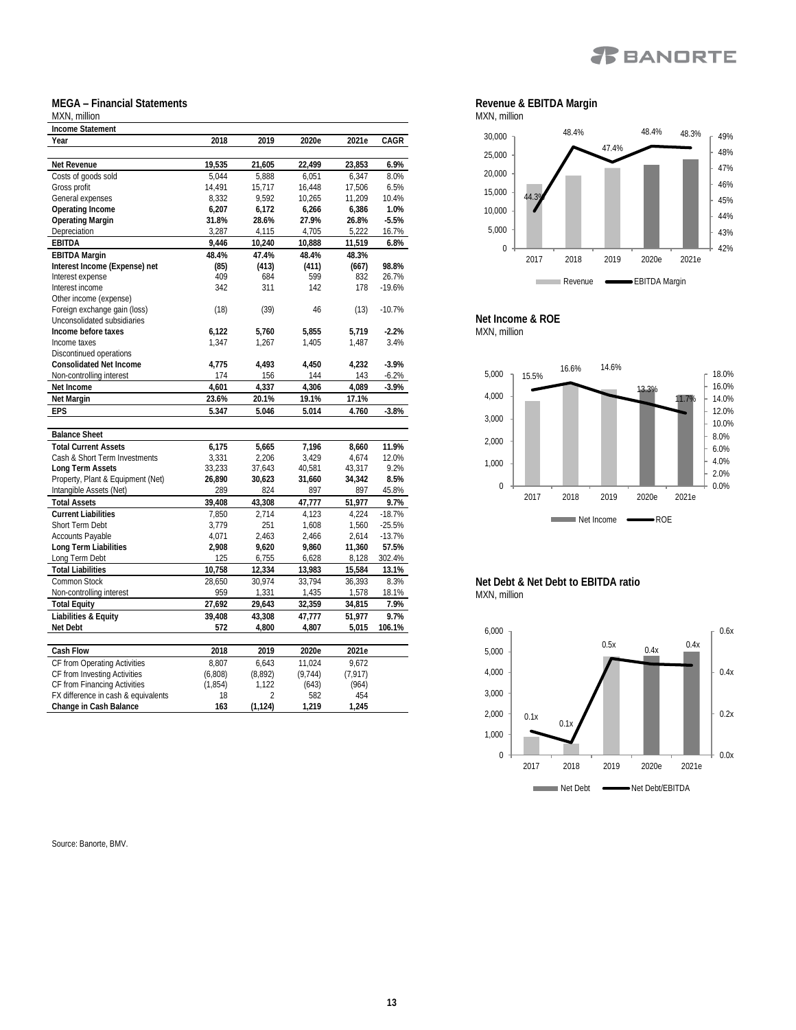### **X** BANDRTE

#### **MEGA – Financial Statements**

#### MXN, million **Income Statement Year 2018 2019 2020e 2021e CAGR Net Revenue 19,535 21,605 22,499 23,853 6.9%** Costs of goods sold 5,044 5,888 6,051 6,347 8.0% Gross profit 14,491 15,717 16,448 17,506 6.5% General expenses <br>
General expenses  $\begin{array}{cccccc} & 8,332 & 9,592 & 10,265 & 11,209 & 10.4\% \\ \text{Operating Income} & 6,207 & 6,172 & 6,266 & 6,386 & 1.0\% \end{array}$ **Operating Income 6,207 6,172 6,266 6,386 1.0% Operating Margin 31.8% 28.6% 27.9% 26.8% -5.5%** Depreciation **EBITDA 9,446 10,240 10,888 11,519 6.8% EBITDA Margin 48.4% 47.4% 48.4% 48.3% Interest Income (Expense) net (85) (413) (411) (667) 98.8%** Interest expense 409 684 599 832 26.7% Interest income 342 311 142 178 -19.6% Other income (expense) Foreign exchange gain (loss) (18) (39) 46 (13) -10.7% Unconsolidated subsidiaries **Income before taxes 6,122 5,760 5,855 5,719 -2.2%** Income taxes 1,347 1,267 1,405 1,487 3.4% Discontinued operations **Consolidated Net Income 4,775 4,493 4,450 4,232 -3.9%** Non-controlling interest 174 156 144 **Net Income 4,601 4,337 4,306 4,089 -3.9% Net Margin 23.6% 20.1% 19.1% 17.1% EPS 5.347 5.046 5.014 4.760 -3.8% Balance Sheet Total Current Assets 6,175 5,665 7,196 8,660 11.9%** Cash & Short Term Investments 3,331 2,206 3,429 4,674<br>
1 ong Term Assets 33,233 37,643 40,581 43,317 **Long Term Assets** 33,233 37,643 40,581 43,317 9.2% Property, Plant & Equipment (Net) **26,890 30,623 31,660 34,342 8.5%** Intangible Assets (Net) 289 824 897 897 45.8%<br>
Total Assets 29,408 43,308 47,777 51,977 9.7% **Total Assets 39,408 43,308 47,777 51,977 9.7% Current Liabilities** 7,850 2,714 4,123 4,224 -18.7% Short Term Debt 3,779 251 1,608 1,560 -25.5% Accounts Payable<br>
Accounts Payable 11.7% 1.4071 2.463 2.466 2.614 -13.7%<br>  $\frac{2,614}{2,908}$  2.908 9.620 9.860 11.360 57.5% **Long Term Liabilities 2,908 9,620 9,860 11,360 57.5%** Long Term Debt 125 6,755 6,628 **Total Liabilities 10,758 12,334 13,983 15,584 13.1%** Common Stock Non-controlling interest 059 1,331 1,435 1,578 18.1% **Total Equity 27,692 29,643 32,359 34,815 7.9% Liabilities & Equity 39,408 43,308 47,777 Net Debt 572 4,800 4,807 5,015 106.1% Cash Flow 2018 2019 2020e 2021e** CF from Operating Activities 8,807 6,643 11,024 9,672<br>CF from Investing Activities (6,808) (8,892) (9,744) (7,917) CF from Investing Activities (6,808) (8,892) (9,744) (7,917)<br>CF from Financing Activities (1,854) 1,122 (643) (964) CF from Financing Activities (1,854) 1,122 FX difference in cash & equivalents 18 2 582 454<br>
Change in Cash Balance 163 (1,124) 1,219 1,245

Source: Banorte, BMV.

**Change in Cash Balance** 







**Net Debt & Net Debt to EBITDA ratio** MXN, million

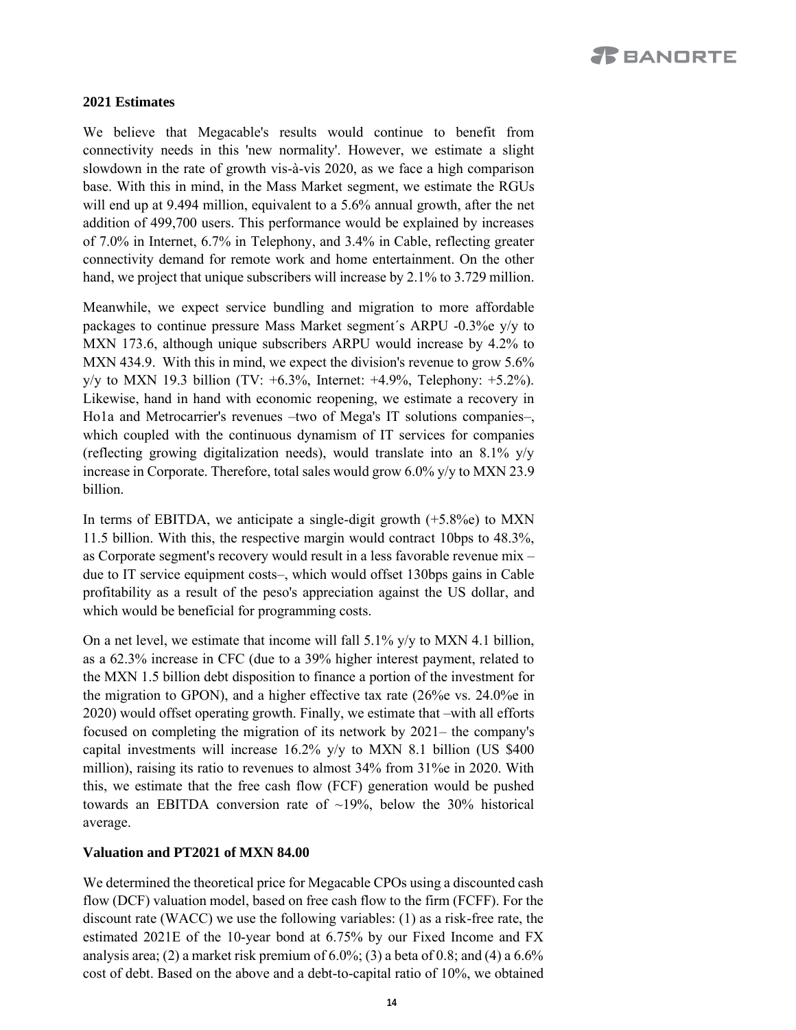#### **2021 Estimates**

We believe that Megacable's results would continue to benefit from connectivity needs in this 'new normality'. However, we estimate a slight slowdown in the rate of growth vis-à-vis 2020, as we face a high comparison base. With this in mind, in the Mass Market segment, we estimate the RGUs will end up at 9.494 million, equivalent to a 5.6% annual growth, after the net addition of 499,700 users. This performance would be explained by increases of 7.0% in Internet, 6.7% in Telephony, and 3.4% in Cable, reflecting greater connectivity demand for remote work and home entertainment. On the other hand, we project that unique subscribers will increase by 2.1% to 3.729 million.

Meanwhile, we expect service bundling and migration to more affordable packages to continue pressure Mass Market segment´s ARPU -0.3%e y/y to MXN 173.6, although unique subscribers ARPU would increase by 4.2% to MXN 434.9. With this in mind, we expect the division's revenue to grow 5.6%  $y/y$  to MXN 19.3 billion (TV: +6.3%, Internet: +4.9%, Telephony: +5.2%). Likewise, hand in hand with economic reopening, we estimate a recovery in Ho1a and Metrocarrier's revenues –two of Mega's IT solutions companies–, which coupled with the continuous dynamism of IT services for companies (reflecting growing digitalization needs), would translate into an  $8.1\%$  y/y increase in Corporate. Therefore, total sales would grow 6.0% y/y to MXN 23.9 billion.

In terms of EBITDA, we anticipate a single-digit growth  $(+5.8\%)$  to MXN 11.5 billion. With this, the respective margin would contract 10bps to 48.3%, as Corporate segment's recovery would result in a less favorable revenue mix – due to IT service equipment costs–, which would offset 130bps gains in Cable profitability as a result of the peso's appreciation against the US dollar, and which would be beneficial for programming costs.

On a net level, we estimate that income will fall 5.1% y/y to MXN 4.1 billion, as a 62.3% increase in CFC (due to a 39% higher interest payment, related to the MXN 1.5 billion debt disposition to finance a portion of the investment for the migration to GPON), and a higher effective tax rate (26%e vs. 24.0%e in 2020) would offset operating growth. Finally, we estimate that –with all efforts focused on completing the migration of its network by 2021– the company's capital investments will increase 16.2% y/y to MXN 8.1 billion (US \$400 million), raising its ratio to revenues to almost 34% from 31%e in 2020. With this, we estimate that the free cash flow (FCF) generation would be pushed towards an EBITDA conversion rate of  $\sim$ 19%, below the 30% historical average.

#### **Valuation and PT2021 of MXN 84.00**

We determined the theoretical price for Megacable CPOs using a discounted cash flow (DCF) valuation model, based on free cash flow to the firm (FCFF). For the discount rate (WACC) we use the following variables: (1) as a risk-free rate, the estimated 2021E of the 10-year bond at 6.75% by our Fixed Income and FX analysis area; (2) a market risk premium of  $6.0\%$ ; (3) a beta of 0.8; and (4) a  $6.6\%$ cost of debt. Based on the above and a debt-to-capital ratio of 10%, we obtained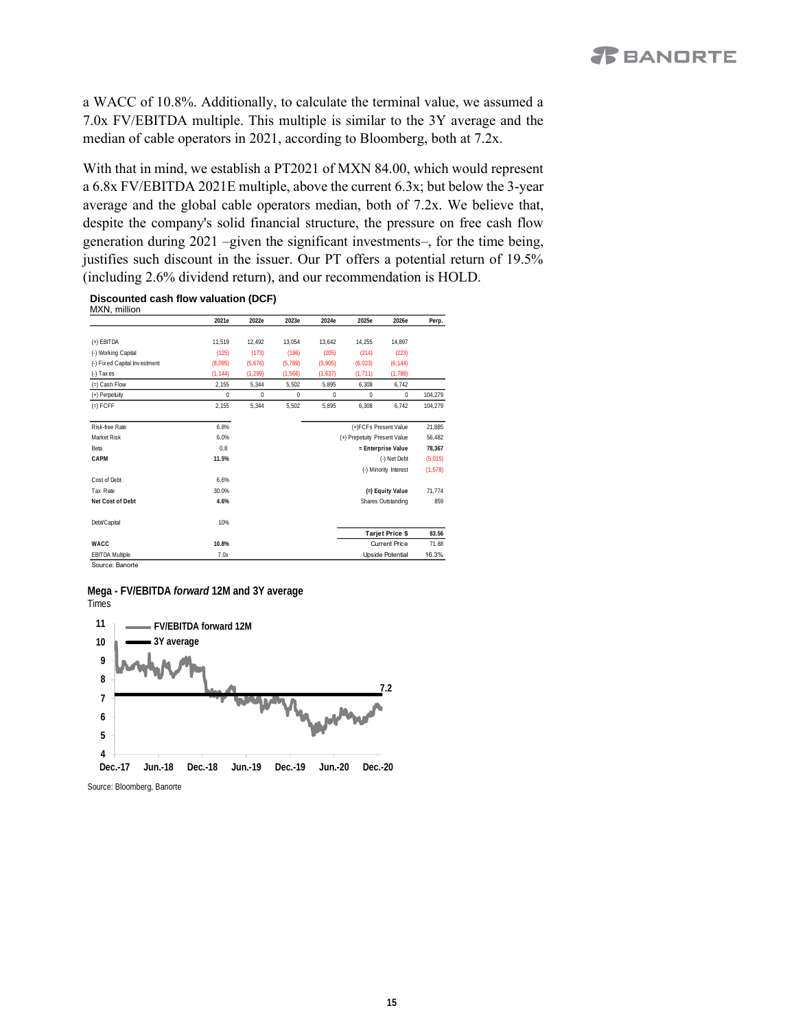a WACC of 10.8%. Additionally, to calculate the terminal value, we assumed a 7.0x FV/EBITDA multiple. This multiple is similar to the 3Y average and the median of cable operators in 2021, according to Bloomberg, both at 7.2x.

With that in mind, we establish a PT2021 of MXN 84.00, which would represent a 6.8x FV/EBITDA 2021E multiple, above the current 6.3x; but below the 3-year average and the global cable operators median, both of 7.2x. We believe that, despite the company's solid financial structure, the pressure on free cash flow generation during 2021 –given the significant investments–, for the time being, justifies such discount in the issuer. Our PT offers a potential return of 19.5% (including 2.6% dividend return), and our recommendation is HOLD.

**Discounted cash flow valuation (DCF)** MXN, million

|                              | 2021e       | 2022e        | 2023e        | 2024e                        | 2025e                 | 2026e                  | Perp.    |  |
|------------------------------|-------------|--------------|--------------|------------------------------|-----------------------|------------------------|----------|--|
|                              |             |              |              |                              |                       |                        |          |  |
| $(+)$ EBITDA                 | 11.519      | 12.492       | 13.054       | 13.642                       | 14,255                | 14.897                 |          |  |
| (-) Working Capital          | (125)       | (173)        | (196)        | (205)                        | (214)                 | (223)                  |          |  |
| (-) Fixed Capital Investment | (8,095)     | (5,676)      | (5, 789)     | (5,905)                      | (6,023)               | (6, 144)               |          |  |
| $(-)$ Taxes                  | (1, 144)    | (1, 299)     | (1, 566)     | (1,637)                      | (1, 711)              | (1,788)                |          |  |
| $(=)$ Cash Flow              | 2,155       | 5,344        | 5,502        | 5.895                        | 6,308                 | 6,742                  |          |  |
| (+) Perpetuity               | $\mathbf 0$ | $\mathbf{0}$ | $\mathbf{0}$ | $\mathbf{0}$                 | $\theta$              | $\mathbf{0}$           | 104,279  |  |
| $(=)$ FCFF                   | 2.155       | 5.344        | 5.502        | 5.895                        | 6.308                 | 6,742                  | 104.279  |  |
| Risk-free Rate               | 6.8%        |              |              |                              | (+)FCFs Present Value |                        |          |  |
| Market Risk                  | 6.0%        |              |              | (+) Prepetuity Present Value |                       |                        | 56,482   |  |
| Beta                         | 0.8         |              |              | = Enterprise Value           |                       |                        | 78,367   |  |
| CAPM                         | 11.5%       |              |              |                              |                       | (-) Net Debt           | (5,015)  |  |
|                              |             |              |              |                              |                       | (-) Minority Interest  | (1, 578) |  |
| Cost of Debt                 | 6.6%        |              |              |                              |                       |                        |          |  |
| Tax Rate                     | 30.0%       |              |              |                              |                       | (=) Equity Value       | 71.774   |  |
| Net Cost of Debt             | 4.6%        |              |              |                              |                       | Shares Outstanding     | 859      |  |
| Debt/Capital                 | 10%         |              |              |                              |                       |                        |          |  |
|                              |             |              |              |                              |                       | <b>Tarjet Price \$</b> | 83.56    |  |
| WACC                         | 10.8%       |              |              |                              |                       | <b>Current Price</b>   | 71.88    |  |
| <b>EBITDA Multiple</b>       | 7.0x        |              |              |                              |                       | Upside Potential       | 16.3%    |  |

#### **Mega - FV/EBITDA** *forward* **12M and 3Y average** Times



Source: Bloomberg, Banorte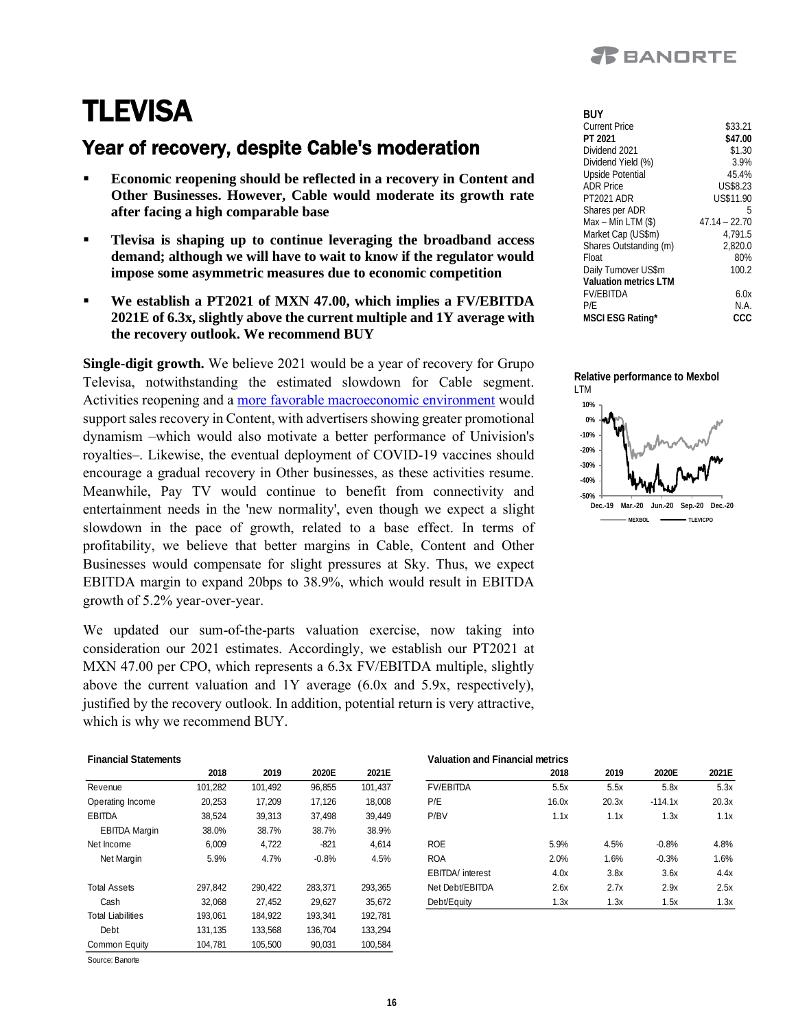

## **TLEVISA**

### Year of recovery, despite Cable's moderation

- **Economic reopening should be reflected in a recovery in Content and Other Businesses. However, Cable would moderate its growth rate after facing a high comparable base**
- **Tlevisa is shaping up to continue leveraging the broadband access demand; although we will have to wait to know if the regulator would impose some asymmetric measures due to economic competition**
- We establish a PT2021 of MXN 47.00, which implies a FV/EBITDA **2021E of 6.3x, slightly above the current multiple and 1Y average with the recovery outlook. We recommend BUY**

**Single-digit growth.** We believe 2021 would be a year of recovery for Grupo Televisa, notwithstanding the estimated slowdown for Cable segment. Activities reopening and a [more favorable macroeconomic environment](https://www.banorte.com/cms/casadebolsabanorteixe/analisisyestrategia/analisiseconomico/mexico/20201019_4Q20_Outlook.pdf) would support sales recovery in Content, with advertisers showing greater promotional dynamism –which would also motivate a better performance of Univision's royalties–. Likewise, the eventual deployment of COVID-19 vaccines should encourage a gradual recovery in Other businesses, as these activities resume. Meanwhile, Pay TV would continue to benefit from connectivity and entertainment needs in the 'new normality', even though we expect a slight slowdown in the pace of growth, related to a base effect. In terms of profitability, we believe that better margins in Cable, Content and Other Businesses would compensate for slight pressures at Sky. Thus, we expect EBITDA margin to expand 20bps to 38.9%, which would result in EBITDA growth of 5.2% year-over-year.

We updated our sum-of-the-parts valuation exercise, now taking into consideration our 2021 estimates. Accordingly, we establish our PT2021 at MXN 47.00 per CPO, which represents a 6.3x FV/EBITDA multiple, slightly above the current valuation and 1Y average (6.0x and 5.9x, respectively), justified by the recovery outlook. In addition, potential return is very attractive, which is why we recommend BUY.

| <b>Financial Statements</b> |  |
|-----------------------------|--|
|                             |  |

|                      | 2018    | 2019    | 2020F   | 2021E   |
|----------------------|---------|---------|---------|---------|
| Revenue              | 101.282 | 101.492 | 96.855  | 101.437 |
| Operating Income     | 20.253  | 17.209  | 17.126  | 18.008  |
| <b>FBITDA</b>        | 38.524  | 39.313  | 37.498  | 39.449  |
| <b>EBITDA Margin</b> | 38.0%   | 38.7%   | 38.7%   | 38.9%   |
| Net Income           | 6.009   | 4.722   | $-821$  | 4.614   |
| Net Margin           | 5.9%    | 4.7%    | $-0.8%$ | 4.5%    |
|                      |         |         |         |         |
| <b>Total Assets</b>  | 297.842 | 290.422 | 283.371 | 293.365 |
| Cash                 | 32.068  | 27.452  | 29.627  | 35.672  |
| Total Liabilities    | 193.061 | 184.922 | 193.341 | 192.781 |
| Debt                 | 131.135 | 133.568 | 136.704 | 133.294 |
| Common Equity        | 104.781 | 105,500 | 90.031  | 100.584 |

Source: Banorte

| BUY                    |                 |
|------------------------|-----------------|
| Current Price          | \$33.21         |
| PT 2021                | \$47.00         |
| Dividend 2021          | \$1.30          |
| Dividend Yield (%)     | 3.9%            |
| Upside Potential       | 45.4%           |
| <b>ADR Price</b>       | <b>US\$8.23</b> |
| <b>PT2021 ADR</b>      | US\$11.90       |
| Shares per ADR         | 5               |
| Max – Mín LTM (\$)     | $47.14 - 22.70$ |
| Market Cap (US\$m)     | 4,791.5         |
| Shares Outstanding (m) | 2.820.0         |
| Float                  | 80%             |
| Daily Turnover US\$m   | 100.2           |
| Valuation metrics I TM |                 |
| <b>FV/FBITDA</b>       | 6.0x            |
| P/E                    | N.A.            |
| MSCI ESG Rating*       | ccc             |





|                      | 2018    | 2019    | 2020E   | 2021E   |                  | 2018  | 2019   | 2020E     | 2021E |
|----------------------|---------|---------|---------|---------|------------------|-------|--------|-----------|-------|
| Revenue              | 101,282 | 101.492 | 96,855  | 101,437 | <b>FV/EBITDA</b> | 5.5x  | 5.5x   | 5.8x      | 5.3x  |
| Operating Income     | 20,253  | 17.209  | 17.126  | 18,008  | P/E              | 16.0x | 20.3x  | $-114.1x$ | 20.3x |
| EBITDA               | 38.524  | 39.313  | 37.498  | 39.449  | P/BV             | 1.1x  | 1.1x   | 1.3x      | 1.1x  |
| <b>EBITDA Margin</b> | 38.0%   | 38.7%   | 38.7%   | 38.9%   |                  |       |        |           |       |
| Net Income           | 6.009   | 4,722   | $-821$  | 4.614   | <b>ROE</b>       | 5.9%  | 4.5%   | $-0.8%$   | 4.8%  |
| Net Margin           | 5.9%    | 4.7%    | $-0.8%$ | 4.5%    | <b>ROA</b>       | 2.0%  | $.6\%$ | $-0.3%$   | 1.6%  |
|                      |         |         |         |         | EBITDA/ interest | 4.0x  | 3.8x   | 3.6x      | 4.4x  |
| <b>Total Assets</b>  | 297.842 | 290.422 | 283.371 | 293.365 | Net Debt/EBITDA  | 2.6x  | 2.7x   | 2.9x      | 2.5x  |
| Cash                 | 32.068  | 27.452  | 29.627  | 35.672  | Debt/Equity      | 1.3x  | 1.3x   | 1.5x      | 1.3x  |

**Financial Statements Valuation and Financial metrics**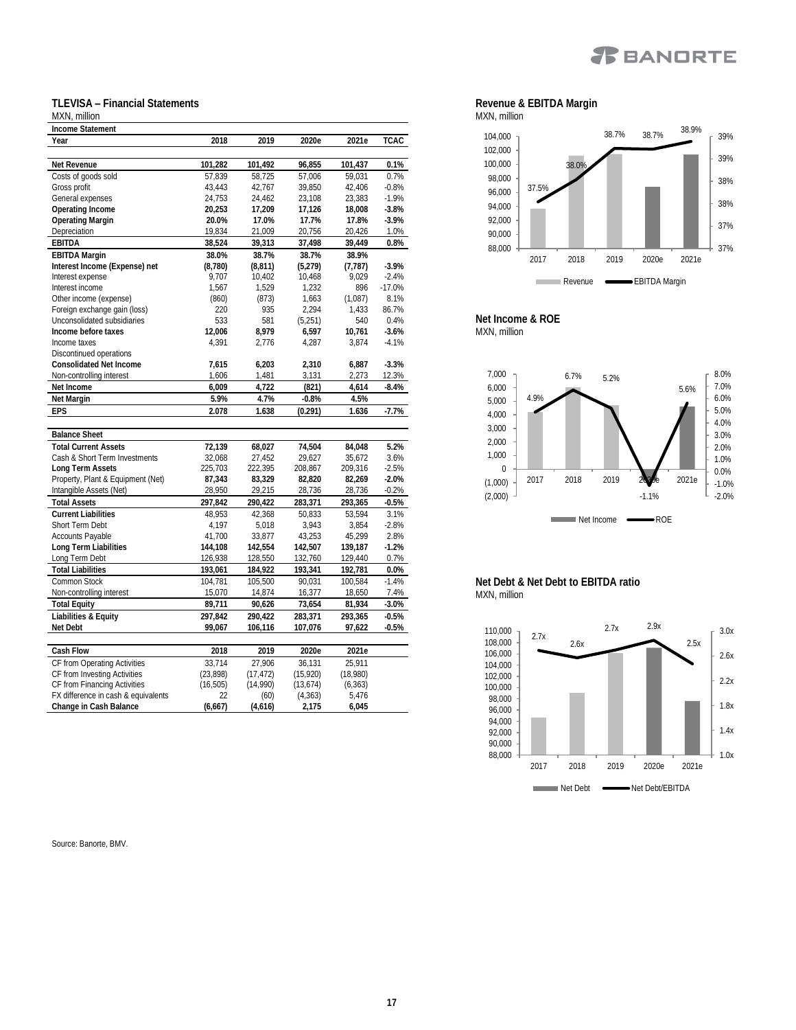

#### **TLEVISA – Financial Statements**

#### MXN, million **Income Statement Year 2018 2019 2020e 2021e TCAC Net Revenue 101,282 101,492 96,855 101,437 0.1%** Costs of goods sold 57,839 58,725 57,006 59,031 0.7% Gross profit 43,443 42,767 39,850 42,406 -0.8% General expenses 24,753 24,462 23,108 23,383 -1.9%<br>
Operating Income 20,253 17,209 17,126 18,008 -3.8% **Operating Income 20,253 17,209 17,126 18,008 -3.8% Operating Margin 20.0% 17.0% 17.7% 17.8% -3.9%** Depreciation **EBITDA 38,524 39,313 37,498 39,449 0.8% EBITDA Margin 38.0% 38.7% 38.7% 38.9% Interest Income (Expense) net (8,780) (8,811) (5,279) (7,787) -3.9%** Interest expense 2007 10,402 10,468 9,029 Interest income (expense) 1,567 1,529 1,232 896 -17.0%<br>
2019 0ther income (expense) (860) (873) 1,663 (1,087) 8.1% Other income (expense) (860) (873) 1,663 (1,087) 8.1%<br>
Foreign exchange gain (loss) 220 935 2,294 1,433 86.7% Foreign exchange gain (loss) 220 935 2,294 1,433 86.7% Unconsolidated subsidiaries **533** 581 (5,251) 540<br>
Income before taxes 12,006 8,979 6,597 10,761 **Income before taxes 12,006 8,979 6,597 10,761 -3.6%** Income taxes 4,391 2,776 4,287 3,874 -4.1% Discontinued operations **Consolidated Net Income 7,615 6,203 2,310 6,887 -3.3%** Non-controlling interest 1,606 1,481 3,131 **Net Income 6,009 4,722 (821) 4,614 -8.4% Net Margin 5.9% 4.7% -0.8% 4.5% EPS 2.078 1.638 (0.291) 1.636 -7.7% Balance Sheet Total Current Assets 72,139 68,027 74,504 84,048 5.2%** Cash & Short Term Investments 32,068 27,452 29,627 35,672<br>
Long Term Assets 225,703 222,395 208,867 209,316 **Long Term Assets** 225,703 222,395 208,867 209,316 -2.5% Property, Plant & Equipment (Net) **87,343 83,329 82,820 82,269 -2.0%** Intangible Assets (Net) 28,950 29,215 28,736 28,736 -0.2% **Total Assets 297,842 290,422 283,371 293,365 -0.5% Current Liabilities** 48,953 42,368 50,833 53,594 3.1% Short Term Debt 4,197 5,018 3,943 3,854 -2.8% Accounts Payable 41,700 33,877 43,253 45,299 2.8%<br>142.554 142.507 139,187 -1.2% **Long Term Liabilities 144,108 142,554 142,507 139,187 -1.2%** Long Term Debt **Total Liabilities 193,061 184,922 193,341 192,781 0.0%** Common Stock 104,781 105,500 90,031 100,584 -1.4% Non-controlling interest 15,070 14,874 16,377 18,650 7.4% **Total Equity 89,711 90,626 73,654 81,934 -3.0% Liabilities & Equity 297,842 290,422 283,371 293,365 -0.5% Net Debt 99,067 106,116 107,076 97,622 -0.5% Cash Flow 2018 2019 2020e 2021e** CF from Operating Activities 33,714 27,906 36,131 25,911<br>CF from Investing Activities (23,898) (17,472) (15,920) (18,980) CF from Investing Activities (23,898) (17,472) (15,920) (18,980) CF from Financing Activities

FX difference in cash & equivalents  $22$  (60) (4,363) 5,476<br>Change in Cash Balance (6,667) (4,616) 2,175 6,045

#### MXN, million 37.5% 38.0% 38.7% 38.7% 38.9% 37% 37% 38% 38% 39% 39% 88,000 90,000 92,000 94,000 96,000 98,000 100,000 102,000 104,000 2017 2018 2019 2020e 2021e

Revenue **EBITDA** Margin

**Net Income & ROE** MXN, million

**College** 

**Revenue & EBITDA Margin**



**Net Debt & Net Debt to EBITDA ratio** MXN, million



Source: Banorte, BMV.

**Change in Cash Balance (6,667) (4,616) 2,175 6,045**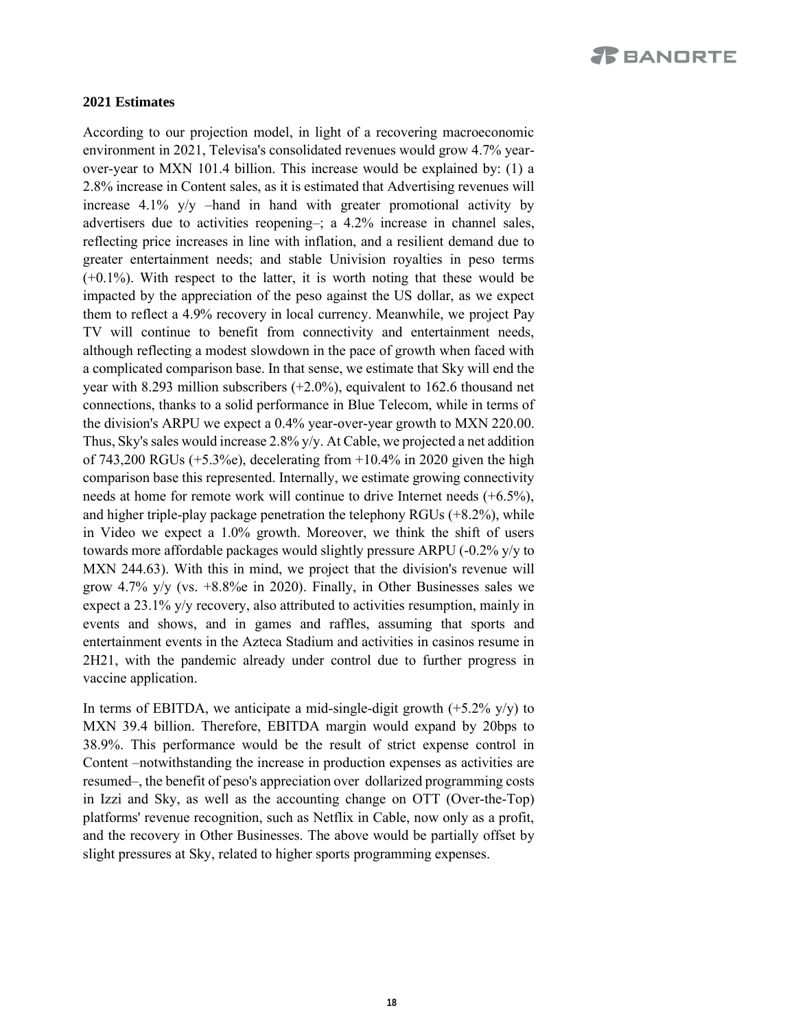#### **2021 Estimates**

According to our projection model, in light of a recovering macroeconomic environment in 2021, Televisa's consolidated revenues would grow 4.7% yearover-year to MXN 101.4 billion. This increase would be explained by: (1) a 2.8% increase in Content sales, as it is estimated that Advertising revenues will increase 4.1% y/y –hand in hand with greater promotional activity by advertisers due to activities reopening–; a 4.2% increase in channel sales, reflecting price increases in line with inflation, and a resilient demand due to greater entertainment needs; and stable Univision royalties in peso terms (+0.1%). With respect to the latter, it is worth noting that these would be impacted by the appreciation of the peso against the US dollar, as we expect them to reflect a 4.9% recovery in local currency. Meanwhile, we project Pay TV will continue to benefit from connectivity and entertainment needs, although reflecting a modest slowdown in the pace of growth when faced with a complicated comparison base. In that sense, we estimate that Sky will end the year with 8.293 million subscribers (+2.0%), equivalent to 162.6 thousand net connections, thanks to a solid performance in Blue Telecom, while in terms of the division's ARPU we expect a 0.4% year-over-year growth to MXN 220.00. Thus, Sky's sales would increase 2.8% y/y. At Cable, we projected a net addition of 743,200 RGUs (+5.3%e), decelerating from  $+10.4\%$  in 2020 given the high comparison base this represented. Internally, we estimate growing connectivity needs at home for remote work will continue to drive Internet needs (+6.5%), and higher triple-play package penetration the telephony RGUs (+8.2%), while in Video we expect a 1.0% growth. Moreover, we think the shift of users towards more affordable packages would slightly pressure ARPU (-0.2% y/y to MXN 244.63). With this in mind, we project that the division's revenue will grow 4.7% y/y (vs.  $+8.8\%$ ) in 2020). Finally, in Other Businesses sales we expect a 23.1% y/y recovery, also attributed to activities resumption, mainly in events and shows, and in games and raffles, assuming that sports and entertainment events in the Azteca Stadium and activities in casinos resume in 2H21, with the pandemic already under control due to further progress in vaccine application.

In terms of EBITDA, we anticipate a mid-single-digit growth  $(+5.2\%$  y/y) to MXN 39.4 billion. Therefore, EBITDA margin would expand by 20bps to 38.9%. This performance would be the result of strict expense control in Content –notwithstanding the increase in production expenses as activities are resumed–, the benefit of peso's appreciation over dollarized programming costs in Izzi and Sky, as well as the accounting change on OTT (Over-the-Top) platforms' revenue recognition, such as Netflix in Cable, now only as a profit, and the recovery in Other Businesses. The above would be partially offset by slight pressures at Sky, related to higher sports programming expenses.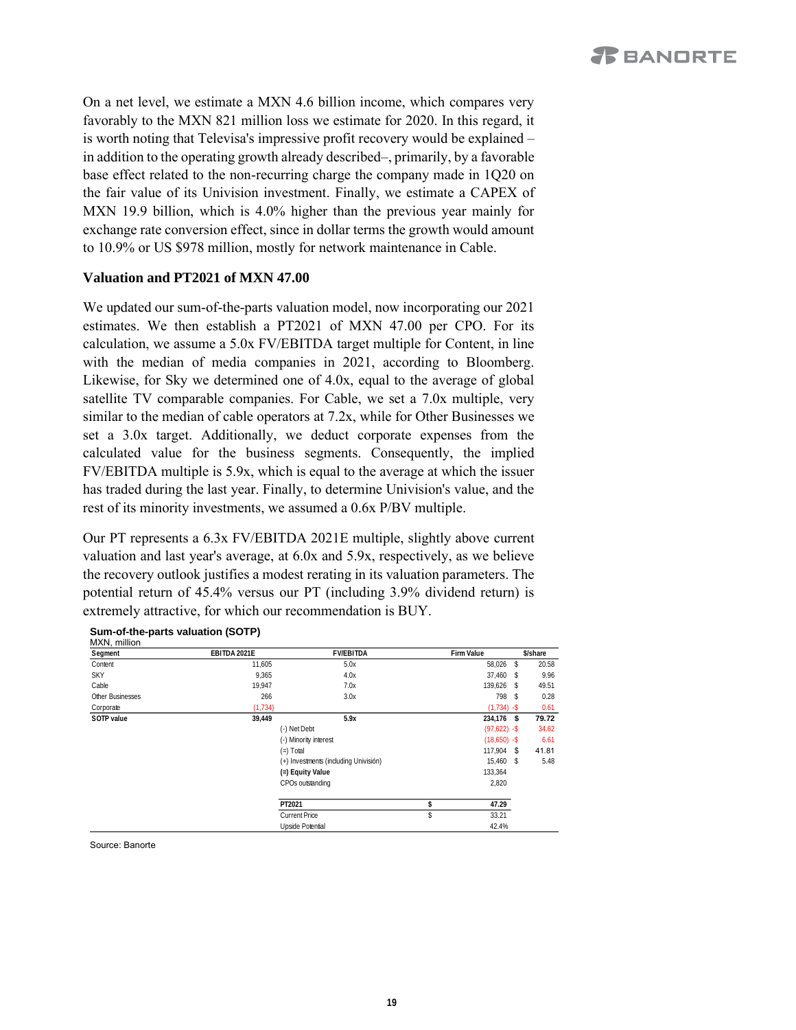On a net level, we estimate a MXN 4.6 billion income, which compares very favorably to the MXN 821 million loss we estimate for 2020. In this regard, it is worth noting that Televisa's impressive profit recovery would be explained – in addition to the operating growth already described–, primarily, by a favorable base effect related to the non-recurring charge the company made in 1Q20 on the fair value of its Univision investment. Finally, we estimate a CAPEX of MXN 19.9 billion, which is 4.0% higher than the previous year mainly for exchange rate conversion effect, since in dollar terms the growth would amount to 10.9% or US \$978 million, mostly for network maintenance in Cable.

#### **Valuation and PT2021 of MXN 47.00**

We updated our sum-of-the-parts valuation model, now incorporating our 2021 estimates. We then establish a PT2021 of MXN 47.00 per CPO. For its calculation, we assume a 5.0x FV/EBITDA target multiple for Content, in line with the median of media companies in 2021, according to Bloomberg. Likewise, for Sky we determined one of 4.0x, equal to the average of global satellite TV comparable companies. For Cable, we set a 7.0x multiple, very similar to the median of cable operators at 7.2x, while for Other Businesses we set a 3.0x target. Additionally, we deduct corporate expenses from the calculated value for the business segments. Consequently, the implied FV/EBITDA multiple is 5.9x, which is equal to the average at which the issuer has traded during the last year. Finally, to determine Univision's value, and the rest of its minority investments, we assumed a 0.6x P/BV multiple.

Our PT represents a 6.3x FV/EBITDA 2021E multiple, slightly above current valuation and last year's average, at 6.0x and 5.9x, respectively, as we believe the recovery outlook justifies a modest rerating in its valuation parameters. The potential return of 45.4% versus our PT (including 3.9% dividend return) is extremely attractive, for which our recommendation is BUY.

| Segment          | EBITDA 2021E | <b>FV/EBITDA</b>                      | Firm Value      |     | \$/share |
|------------------|--------------|---------------------------------------|-----------------|-----|----------|
| Content          | 11,605       | 5.0x                                  | 58,026          | -S  | 20.58    |
| <b>SKY</b>       | 9,365        | 4.0x                                  | 37,460 \$       |     | 9.96     |
| Cable            | 19.947       | 7.0x                                  | 139.626 \$      |     | 49.51    |
| Other Businesses | 266          | 3.0x                                  | 798             | - S | 0.28     |
| Corporate        | (1, 734)     |                                       | $(1,734) -$ \$  |     | 0.61     |
| SOTP value       | 39.449       | 5.9x                                  | 234,176 \$      |     | 79.72    |
|                  |              | (-) Net Debt                          | $(97,622) -$ \$ |     | 34.62    |
|                  |              | (-) Minority interest                 | $(18,650) -$ \$ |     | 6.61     |
|                  |              | $(=)$ Total                           | $117.904$ \$    |     | 41.81    |
|                  |              | (+) Investments (including Univisión) | 15,460 \$       |     | 5.48     |
|                  |              | (=) Equity Value                      | 133,364         |     |          |
|                  |              | CPOs outstanding                      | 2,820           |     |          |
|                  |              | PT2021                                | \$<br>47.29     |     |          |
|                  |              | Current Price                         | \$<br>33.21     |     |          |
|                  |              | Upside Potential                      | 42.4%           |     |          |

#### **Sum-of-the-parts valuation (SOTP)** MYN million

Source: Banorte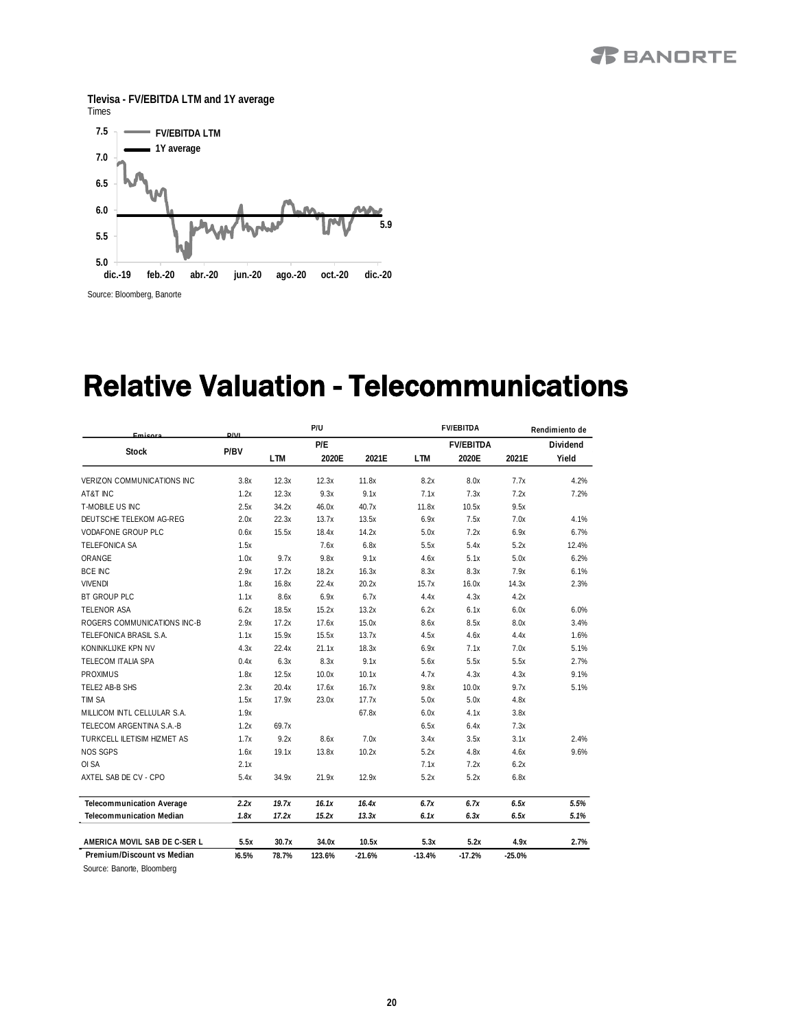### *R* BANDRTE





## Relative Valuation - Telecommunications

| Emisora                                                  | $D/\sqrt{1}$ |            | P/U    |          | <b>FV/EBITDA</b> |                  | Rendimiento de |          |
|----------------------------------------------------------|--------------|------------|--------|----------|------------------|------------------|----------------|----------|
|                                                          |              |            | P/E    |          |                  | <b>FV/EBITDA</b> |                | Dividend |
| <b>Stock</b>                                             | P/BV         | <b>LTM</b> | 2020E  | 2021E    | <b>LTM</b>       | 2020E            | 2021E          | Yield    |
| <b>VERIZON COMMUNICATIONS INC</b>                        | 3.8x         | 12.3x      | 12.3x  | 11.8x    | 8.2x             | 8.0x             | 7.7x           | 4.2%     |
| AT&T INC                                                 | 1.2x         | 12.3x      | 9.3x   | 9.1x     | 7.1x             | 7.3x             | 7.2x           | 7.2%     |
| T-MOBILE US INC                                          | 2.5x         | 34.2x      | 46.0x  | 40.7x    | 11.8x            | 10.5x            | 9.5x           |          |
| DEUTSCHE TELEKOM AG-REG                                  | 2.0x         | 22.3x      | 13.7x  | 13.5x    | 6.9x             | 7.5x             | 7.0x           | 4.1%     |
| VODAFONE GROUP PLC                                       | 0.6x         | 15.5x      | 18.4x  | 14.2x    | 5.0x             | 7.2x             | 6.9x           | 6.7%     |
| TELEFONICA SA                                            | 1.5x         |            | 7.6x   | 6.8x     | 5.5x             | 5.4x             | 5.2x           | 12.4%    |
| ORANGE                                                   | 1.0x         | 9.7x       | 9.8x   | 9.1x     | 4.6x             | 5.1x             | 5.0x           | 6.2%     |
| <b>BCE INC</b>                                           | 2.9x         | 17.2x      | 18.2x  | 16.3x    | 8.3x             | 8.3x             | 7.9x           | 6.1%     |
| <b>VIVENDI</b>                                           | 1.8x         | 16.8x      | 22.4x  | 20.2x    | 15.7x            | 16.0x            | 14.3x          | 2.3%     |
| BT GROUP PLC                                             | 1.1x         | 8.6x       | 6.9x   | 6.7x     | 4.4x             | 4.3x             | 4.2x           |          |
| TELENOR ASA                                              | 6.2x         | 18.5x      | 15.2x  | 13.2x    | 6.2x             | 6.1x             | 6.0x           | 6.0%     |
| ROGERS COMMUNICATIONS INC-B                              | 2.9x         | 17.2x      | 17.6x  | 15.0x    | 8.6x             | 8.5x             | 8.0x           | 3.4%     |
| TELEFONICA BRASIL S.A.                                   | 1.1x         | 15.9x      | 15.5x  | 13.7x    | 4.5x             | 4.6x             | 4.4x           | 1.6%     |
| KONINKLUKE KPN NV                                        | 4.3x         | 22.4x      | 21.1x  | 18.3x    | 6.9x             | 7.1x             | 7.0x           | 5.1%     |
| TELECOM ITALIA SPA                                       | 0.4x         | 6.3x       | 8.3x   | 9.1x     | 5.6x             | 5.5x             | 5.5x           | 2.7%     |
| <b>PROXIMUS</b>                                          | 1.8x         | 12.5x      | 10.0x  | 10.1x    | 4.7x             | 4.3x             | 4.3x           | 9.1%     |
| TELE2 AB-B SHS                                           | 2.3x         | 20.4x      | 17.6x  | 16.7x    | 9.8x             | 10.0x            | 9.7x           | 5.1%     |
| TIM SA                                                   | 1.5x         | 17.9x      | 23.0x  | 17.7x    | 5.0x             | 5.0x             | 4.8x           |          |
| MILLICOM INTL CELLULAR S.A.                              | 1.9x         |            |        | 67.8x    | 6.0x             | 4.1x             | 3.8x           |          |
| TELECOM ARGENTINA S.A.-B                                 | 1.2x         | 69.7x      |        |          | 6.5x             | 6.4x             | 7.3x           |          |
| TURKCELL ILETISIM HIZMET AS                              | 1.7x         | 9.2x       | 8.6x   | 7.0x     | 3.4x             | 3.5x             | 3.1x           | 2.4%     |
| <b>NOS SGPS</b>                                          | 1.6x         | 19.1x      | 13.8x  | 10.2x    | 5.2x             | 4.8x             | 4.6x           | 9.6%     |
| OI SA                                                    | 2.1x         |            |        |          | 7.1x             | 7.2x             | 6.2x           |          |
| AXTEL SAB DE CV - CPO                                    | 5.4x         | 34.9x      | 21.9x  | 12.9x    | 5.2x             | 5.2x             | 6.8x           |          |
| Telecommunication Average                                | 2.2x         | 19.7x      | 16.1x  | 16.4x    | 6.7x             | 6.7x             | 6.5x           | 5.5%     |
| Telecommunication Median                                 | 1.8x         | 17.2x      | 15.2x  | 13.3x    | 6.1x             | 6.3x             | 6.5x           | 5.1%     |
| AMERICA MOVIL SAB DE C-SER L                             | 5.5x         | 30.7x      | 34.0x  | 10.5x    | 5.3x             | 5.2x             | 4.9x           | 2.7%     |
| Premium/Discount vs Median<br>Source: Banorte, Bloomberg | 06.5%        | 78.7%      | 123.6% | $-21.6%$ | $-13.4%$         | $-17.2%$         | $-25.0%$       |          |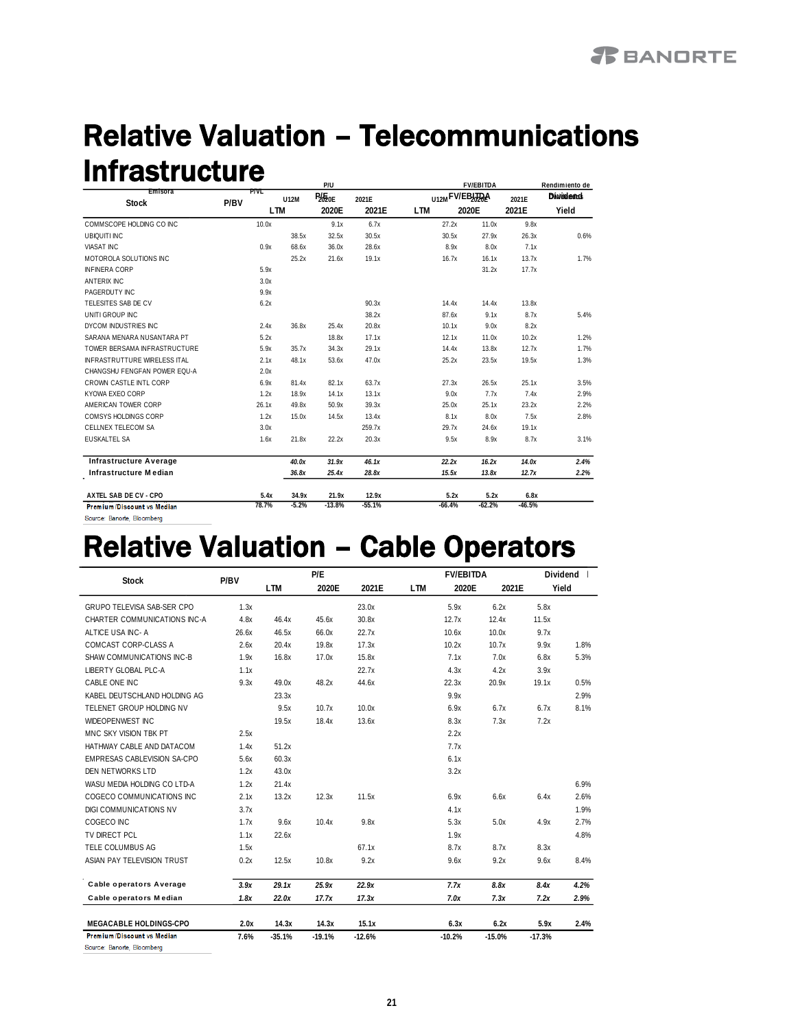#### Relative Valuation – Telecommunications Infrastructure **Rendimiento de P/U FV/EBITDA**

| Emisora                             |      | P/VL       |         | r/u       |          |            |                | <b><i>FVIEDIIUA</i></b> |          | Kenamnerito de   |  |
|-------------------------------------|------|------------|---------|-----------|----------|------------|----------------|-------------------------|----------|------------------|--|
| <b>Stock</b>                        | P/BV |            | U12M    | $P_{20E}$ | 2021E    |            | U12MFV/EBJJDQA |                         | 2021E    | <b>Dividents</b> |  |
|                                     |      | <b>LTM</b> |         | 2020E     | 2021E    | <b>LTM</b> | 2020E          |                         | 2021E    | Yield            |  |
| COMMSCOPE HOLDING CO INC            |      | 10.0x      |         | 9.1x      | 6.7x     |            | 27.2x          | 11.0x                   | 9.8x     |                  |  |
| <b>UBIQUITI INC</b>                 |      |            | 38.5x   | 32.5x     | 30.5x    |            | 30.5x          | 27.9x                   | 26.3x    | 0.6%             |  |
| <b>VIASAT INC</b>                   |      | 0.9x       | 68.6x   | 36.0x     | 28.6x    |            | 8.9x           | 8.0x                    | 7.1x     |                  |  |
| MOTOROLA SOLUTIONS INC              |      |            | 25.2x   | 21.6x     | 19.1x    |            | 16.7x          | 16.1x                   | 13.7x    | 1.7%             |  |
| <b>INFINERA CORP</b>                |      | 5.9x       |         |           |          |            |                | 31.2x                   | 17.7x    |                  |  |
| <b>ANTERIX INC</b>                  |      | 3.0x       |         |           |          |            |                |                         |          |                  |  |
| PAGERDUTY INC                       |      | 9.9x       |         |           |          |            |                |                         |          |                  |  |
| TELESITES SAB DE CV                 |      | 6.2x       |         |           | 90.3x    |            | 14.4x          | 14.4x                   | 13.8x    |                  |  |
| UNITI GROUP INC                     |      |            |         |           | 38.2x    |            | 87.6x          | 9.1x                    | 8.7x     | 5.4%             |  |
| DYCOM INDUSTRIES INC                |      | 2.4x       | 36.8x   | 25.4x     | 20.8x    |            | 10.1x          | 9.0x                    | 8.2x     |                  |  |
| SARANA MENARA NUSANTARA PT          |      | 5.2x       |         | 18.8x     | 17.1x    |            | 12.1x          | 11.0x                   | 10.2x    | 1.2%             |  |
| TOWER BERSAMA INFRASTRUCTURE        |      | 5.9x       | 35.7x   | 34.3x     | 29.1x    |            | 14.4x          | 13.8x                   | 12.7x    | 1.7%             |  |
| <b>INFRASTRUTTURE WIRELESS ITAL</b> |      | 2.1x       | 48.1x   | 53.6x     | 47.0x    |            | 25.2x          | 23.5x                   | 19.5x    | 1.3%             |  |
| CHANGSHU FENGFAN POWER EQU-A        |      | 2.0x       |         |           |          |            |                |                         |          |                  |  |
| CROWN CASTLE INTL CORP              |      | 6.9х       | 81.4x   | 82.1x     | 63.7x    |            | 27.3x          | 26.5x                   | 25.1x    | 3.5%             |  |
| KYOWA EXEO CORP                     |      | 1.2x       | 18.9x   | 14.1x     | 13.1x    |            | 9.0x           | 7.7x                    | 7.4x     | 2.9%             |  |
| AMERICAN TOWER CORP                 |      | 26.1x      | 49.8x   | 50.9x     | 39.3x    |            | 25.0x          | 25.1x                   | 23.2x    | 2.2%             |  |
| COMSYS HOLDINGS CORP                |      | 1.2x       | 15.0x   | 14.5x     | 13.4x    |            | 8.1x           | 8.0x                    | 7.5x     | 2.8%             |  |
| CELLNEX TELECOM SA                  |      | 3.0x       |         |           | 259.7x   |            | 29.7x          | 24.6x                   | 19.1x    |                  |  |
| EUSKALTEL SA                        |      | 1.6x       | 21.8x   | 22.2x     | 20.3x    |            | 9.5x           | 8.9x                    | 8.7x     | 3.1%             |  |
| <b>Infrastructure Average</b>       |      |            | 40.0x   | 31.9x     | 46.1x    |            | 22.2x          | 16.2x                   | 14.0x    | 2.4%             |  |
| Infrastructure Median               |      |            | 36.8x   | 25.4x     | 28.8x    |            | 15.5x          | 13.8x                   | 12.7x    | 2.2%             |  |
| AXTEL SAB DE CV - CPO               |      | 5.4x       | 34.9x   | 21.9x     | 12.9x    |            | 5.2x           | 5.2x                    | 6.8x     |                  |  |
| <b>Premium/Discount vs Median</b>   |      | 78.7%      | $-5.2%$ | $-13.8%$  | $-55.1%$ |            | $-66.4%$       | $-62.2%$                | $-46.5%$ |                  |  |

Fuente: Banorte, Bloomberg -5.2% -5.2% -5.2% -5.2% -5.2% -6.2% -6.2% -6.3% -5.1% -6.5% -6.5% -6.5% -6.5% -6.5% -6.5% -6.5% -6.5% -6.1% -6.1% -6.1% -6.1% -6.1% -6.1% -6.1% -6.1% -6.1% -6.1% -6.1% -6.1% -6.1% -6.1% -6.1% -6.

## **Relative Valuation - Cable Operators**

|                                   | P/BV  |          | P/E      |          |            | <b>FV/EBITDA</b> |          |          | Dividend |
|-----------------------------------|-------|----------|----------|----------|------------|------------------|----------|----------|----------|
| <b>Stock</b>                      |       | I TM     | 2020E    | 2021E    | <b>LTM</b> | 2020F            | 2021E    |          | Yield    |
| <b>GRUPO TELEVISA SAB-SER CPO</b> | 1.3x  |          |          | 23.0x    |            | 5.9x             | 6.2x     | 5.8x     |          |
| CHARTER COMMUNICATIONS INC-A      | 4.8x  | 46.4x    | 45.6x    | 30.8x    |            | 12.7x            | 12.4x    | 11.5x    |          |
| ALTICE USA INC-A                  | 26.6x | 46.5x    | 66.0x    | 22.7x    |            | 10.6x            | 10.0x    | 9.7x     |          |
| COMCAST CORP-CLASS A              | 2.6x  | 20.4x    | 19.8x    | 17.3x    |            | 10.2x            | 10.7x    | 9.9x     | 1.8%     |
| SHAW COMMUNICATIONS INC-B         | 1.9x  | 16.8x    | 17.0x    | 15.8x    |            | 7.1x             | 7.0x     | 6.8x     | 5.3%     |
| LIBERTY GLOBAL PLC-A              | 1.1x  |          |          | 22.7x    |            | 4.3x             | 4.2x     | 3.9x     |          |
| CABLE ONE INC                     | 9.3x  | 49.0x    | 48.2x    | 44.6x    |            | 22.3x            | 20.9x    | 19.1x    | 0.5%     |
| KABEL DEUTSCHLAND HOLDING AG      |       | 23.3x    |          |          |            | 9.9x             |          |          | 2.9%     |
| TELENET GROUP HOLDING NV          |       | 9.5x     | 10.7x    | 10.0x    |            | 6.9x             | 6.7x     | 6.7x     | 8.1%     |
| WIDEOPENWEST INC                  |       | 19.5x    | 18.4x    | 13.6x    |            | 8.3x             | 7.3x     | 7.2x     |          |
| MNC SKY VISION TBK PT             | 2.5x  |          |          |          |            | 2.2x             |          |          |          |
| HATHWAY CABLE AND DATACOM         | 1.4x  | 51.2x    |          |          |            | 7.7x             |          |          |          |
| EMPRESAS CABLEVISION SA-CPO       | 5.6x  | 60.3x    |          |          |            | 6.1x             |          |          |          |
| DEN NETWORKS LTD                  | 1.2x  | 43.0x    |          |          |            | 3.2x             |          |          |          |
| WASU MEDIA HOLDING CO LTD-A       | 1.2x  | 21.4x    |          |          |            |                  |          |          | 6.9%     |
| COGECO COMMUNICATIONS INC         | 2.1x  | 13.2x    | 12.3x    | 11.5x    |            | 6.9x             | 6.6x     | 6.4x     | 2.6%     |
| DIGI COMMUNICATIONS NV            | 3.7x  |          |          |          |            | 4.1x             |          |          | 1.9%     |
| COGECO INC                        | 1.7x  | 9.6x     | 10.4x    | 9.8x     |            | 5.3x             | 5.0x     | 4.9x     | 2.7%     |
| TV DIRECT PCL                     | 1.1x  | 22.6x    |          |          |            | 1.9x             |          |          | 4.8%     |
| TELE COLUMBUS AG                  | 1.5x  |          |          | 67.1x    |            | 8.7x             | 8.7x     | 8.3x     |          |
| ASIAN PAY TELEVISION TRUST        | 0.2x  | 12.5x    | 10.8x    | 9.2x     |            | 9.6x             | 9.2x     | 9.6x     | 8.4%     |
| <b>Cable operators Average</b>    | 3.9x  | 29.1x    | 25.9x    | 22.9x    |            | 7.7x             | 8.8x     | 8.4x     | 4.2%     |
| Cable operators Median            | 1.8x  | 22.0x    | 17.7x    | 17.3x    |            | 7.0x             | 7.3x     | 7.2x     | 2.9%     |
| MEGACABLE HOLDINGS-CPO            | 2.0x  | 14.3x    | 14.3x    | 15.1x    |            | 6.3x             | 6.2x     | 5.9x     | 2.4%     |
| <b>Premium/Discount vs Median</b> | 7.6%  | $-35.1%$ | $-19.1%$ | $-12.6%$ |            | $-10.2%$         | $-15.0%$ | $-17.3%$ |          |

Source: Banorte, Bloomberg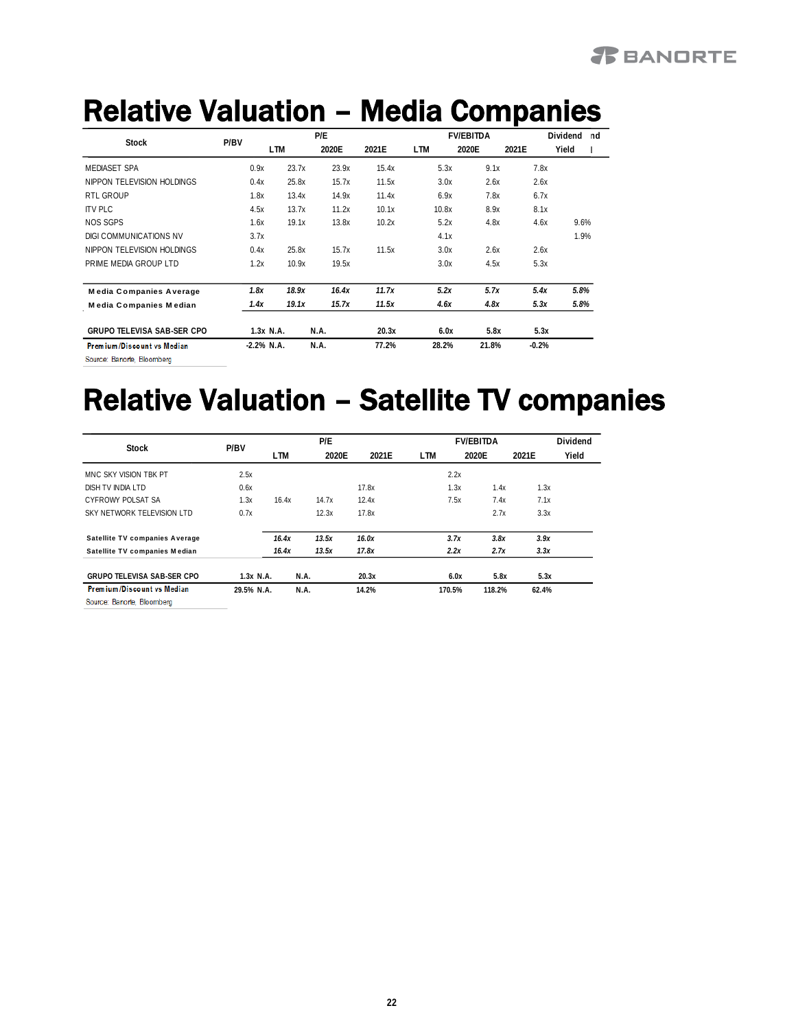### *R* BANDRTE

## Relative Valuation - Media Companies

|                                   | P/BV | P/F           |       |       | <b>FV/EBITDA</b> |       |            |       | Dividend<br>nd |       |       |         |       |  |
|-----------------------------------|------|---------------|-------|-------|------------------|-------|------------|-------|----------------|-------|-------|---------|-------|--|
| <b>Stock</b>                      |      |               | LTM   | 2020E |                  | 2021E | <b>LTM</b> |       | 2020E          |       | 2021E |         | Yield |  |
| <b>MEDIASET SPA</b>               |      | 0.9x          | 23.7x |       | 23.9x            | 15.4x |            | 5.3x  |                | 9.1x  |       | 7.8x    |       |  |
| NIPPON TELEVISION HOLDINGS        |      | 0.4x          | 25.8x |       | 15.7x            | 11.5x |            | 3.0x  |                | 2.6x  |       | 2.6x    |       |  |
| RTL GROUP                         |      | 1.8x          | 13.4x |       | 14.9x            | 11.4x |            | 6.9x  |                | 7.8x  |       | 6.7x    |       |  |
| <b>ITV PLC</b>                    |      | 4.5x          | 13.7x |       | 11.2x            | 10.1x |            | 10.8x |                | 8.9x  |       | 8.1x    |       |  |
| <b>NOS SGPS</b>                   |      | 1.6x          | 19.1x |       | 13.8x            | 10.2x |            | 5.2x  |                | 4.8x  |       | 4.6x    | 9.6%  |  |
| DIGLCOMMUNICATIONS NV             |      | 3.7x          |       |       |                  |       |            | 4.1x  |                |       |       |         | 1.9%  |  |
| NIPPON TELEVISION HOLDINGS        |      | 0.4x          | 25.8x |       | 15.7x            | 11.5x |            | 3.0x  |                | 2.6x  |       | 2.6x    |       |  |
| PRIME MEDIA GROUP LTD             |      | 1.2x          | 10.9x |       | 19.5x            |       |            | 3.0x  |                | 4.5x  |       | 5.3x    |       |  |
| <b>Media Companies Average</b>    |      | 1.8x          | 18.9x |       | 16.4x            | 11.7x |            | 5.2x  |                | 5.7x  |       | 5.4x    | 5.8%  |  |
| Media Companies Median            |      | 1.4x          | 19.1x |       | 15.7x            | 11.5x |            | 4.6x  |                | 4.8x  |       | 5.3x    | 5.8%  |  |
| <b>GRUPO TELEVISA SAB-SER CPO</b> |      | 1.3x N.A.     |       | N.A.  |                  | 20.3x |            | 6.0x  |                | 5.8x  |       | 5.3x    |       |  |
| Premium/Discount vs Median        |      | $-2.2\%$ N.A. |       | N.A.  |                  | 77.2% |            | 28.2% |                | 21.8% |       | $-0.2%$ |       |  |
| Source: Banorte, Bloomberg        |      |               |       |       |                  |       |            |       |                |       |       |         |       |  |

# Relative Valuation – Satellite TV companies

|                                   |             |       | P/E   |       |        | <b>FV/EBITDA</b> |       | Dividend |
|-----------------------------------|-------------|-------|-------|-------|--------|------------------|-------|----------|
| Stock                             | P/BV        | LTM.  | 2020E | 2021E | LTM    | 2020E            | 2021E | Yield    |
| MNC SKY VISION TBK PT             | 2.5x        |       |       |       | 2.2x   |                  |       |          |
| DISH TV INDIA I TD                | 0.6x        |       |       | 17.8x | 1.3x   | 1.4x             | 1.3x  |          |
| CYEROWY POLSAT SA                 | 1.3x        | 16.4x | 14.7x | 12.4x | 7.5x   | 7.4x             | 7.1x  |          |
| SKY NETWORK TELEVISION LTD        | 0.7x        |       | 12.3x | 17.8x |        | 2.7x             | 3.3x  |          |
| Satellite TV companies Average    |             | 16.4x | 13.5x | 16.0x | 3.7x   | 3.8x             | 3.9x  |          |
| Satellite TV companies Median     |             | 16.4x | 13.5x | 17.8x | 2.2x   | 2.7x             | 3.3x  |          |
| <b>GRUPO TELEVISA SAB-SER CPO</b> | $1.3x$ N.A. |       | N.A.  | 20.3x |        | 5.8x<br>6.0x     | 5.3x  |          |
| Premium/Discount vs Median        | 29.5% N.A.  |       | N.A.  | 14.2% | 170.5% | 118.2%           | 62.4% |          |
| Source: Banorte, Bloomberg        |             |       |       |       |        |                  |       |          |

**22**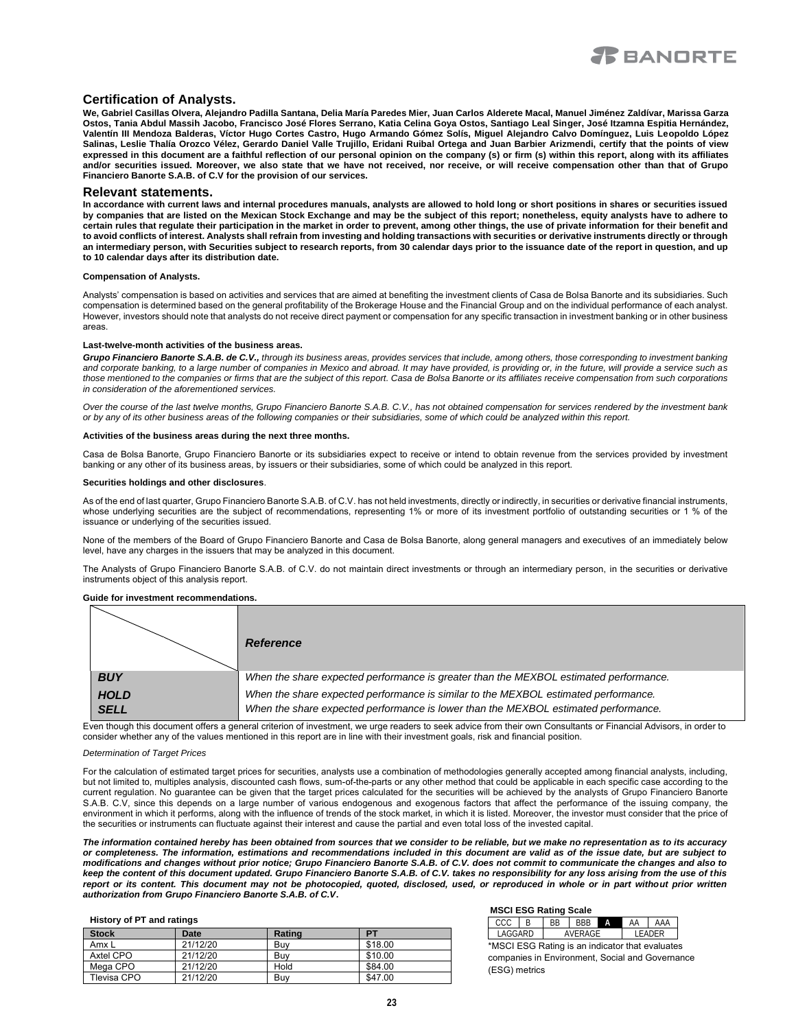

#### **Certification of Analysts.**

**We, Gabriel Casillas Olvera, Alejandro Padilla Santana, Delia María Paredes Mier, Juan Carlos Alderete Macal, Manuel Jiménez Zaldívar, Marissa Garza Ostos, Tania Abdul Massih Jacobo, Francisco José Flores Serrano, Katia Celina Goya Ostos, Santiago Leal Singer, José Itzamna Espitia Hernández, Valentín III Mendoza Balderas, Víctor Hugo Cortes Castro, Hugo Armando Gómez Solís, Miguel Alejandro Calvo Domínguez, Luis Leopoldo López Salinas, Leslie Thalía Orozco Vélez, Gerardo Daniel Valle Trujillo, Eridani Ruibal Ortega and Juan Barbier Arizmendi, certify that the points of view expressed in this document are a faithful reflection of our personal opinion on the company (s) or firm (s) within this report, along with its affiliates and/or securities issued. Moreover, we also state that we have not received, nor receive, or will receive compensation other than that of Grupo Financiero Banorte S.A.B. of C.V for the provision of our services.**

#### **Relevant statements.**

**In accordance with current laws and internal procedures manuals, analysts are allowed to hold long or short positions in shares or securities issued by companies that are listed on the Mexican Stock Exchange and may be the subject of this report; nonetheless, equity analysts have to adhere to certain rules that regulate their participation in the market in order to prevent, among other things, the use of private information for their benefit and to avoid conflicts of interest. Analysts shall refrain from investing and holding transactions with securities or derivative instruments directly or through an intermediary person, with Securities subject to research reports, from 30 calendar days prior to the issuance date of the report in question, and up to 10 calendar days after its distribution date.**

#### **Compensation of Analysts.**

Analysts' compensation is based on activities and services that are aimed at benefiting the investment clients of Casa de Bolsa Banorte and its subsidiaries. Such compensation is determined based on the general profitability of the Brokerage House and the Financial Group and on the individual performance of each analyst. However, investors should note that analysts do not receive direct payment or compensation for any specific transaction in investment banking or in other business areas.

#### **Last-twelve-month activities of the business areas.**

*Grupo Financiero Banorte S.A.B. de C.V., through its business areas, provides services that include, among others, those corresponding to investment banking*  and corporate banking, to a large number of companies in Mexico and abroad. It may have provided, is providing or, in the future, will provide a service such as *those mentioned to the companies or firms that are the subject of this report. Casa de Bolsa Banorte or its affiliates receive compensation from such corporations in consideration of the aforementioned services.*

*Over the course of the last twelve months, Grupo Financiero Banorte S.A.B. C.V., has not obtained compensation for services rendered by the investment bank or by any of its other business areas of the following companies or their subsidiaries, some of which could be analyzed within this report.*

#### **Activities of the business areas during the next three months.**

Casa de Bolsa Banorte, Grupo Financiero Banorte or its subsidiaries expect to receive or intend to obtain revenue from the services provided by investment banking or any other of its business areas, by issuers or their subsidiaries, some of which could be analyzed in this report.

#### **Securities holdings and other disclosures**.

As of the end of last quarter, Grupo Financiero Banorte S.A.B. of C.V. has not held investments, directly or indirectly, in securities or derivative financial instruments, whose underlying securities are the subject of recommendations, representing 1% or more of its investment portfolio of outstanding securities or 1 % of the issuance or underlying of the securities issued.

None of the members of the Board of Grupo Financiero Banorte and Casa de Bolsa Banorte, along general managers and executives of an immediately below level, have any charges in the issuers that may be analyzed in this document.

The Analysts of Grupo Financiero Banorte S.A.B. of C.V. do not maintain direct investments or through an intermediary person, in the securities or derivative instruments object of this analysis report.

#### **Guide for investment recommendations.**

|             | <b>Reference</b>                                                                      |
|-------------|---------------------------------------------------------------------------------------|
| <b>BUY</b>  | When the share expected performance is greater than the MEXBOL estimated performance. |
| <b>HOLD</b> | When the share expected performance is similar to the MEXBOL estimated performance.   |
| <b>SELL</b> | When the share expected performance is lower than the MEXBOL estimated performance.   |

Even though this document offers a general criterion of investment, we urge readers to seek advice from their own Consultants or Financial Advisors, in order to consider whether any of the values mentioned in this report are in line with their investment goals, risk and financial position.

#### *Determination of Target Prices*

For the calculation of estimated target prices for securities, analysts use a combination of methodologies generally accepted among financial analysts, including, but not limited to, multiples analysis, discounted cash flows, sum-of-the-parts or any other method that could be applicable in each specific case according to the current regulation. No guarantee can be given that the target prices calculated for the securities will be achieved by the analysts of Grupo Financiero Banorte S.A.B. C.V, since this depends on a large number of various endogenous and exogenous factors that affect the performance of the issuing company, the environment in which it performs, along with the influence of trends of the stock market, in which it is listed. Moreover, the investor must consider that the price of the securities or instruments can fluctuate against their interest and cause the partial and even total loss of the invested capital.

*The information contained hereby has been obtained from sources that we consider to be reliable, but we make no representation as to its accuracy or completeness. The information, estimations and recommendations included in this document are valid as of the issue date, but are subject to modifications and changes without prior notice; Grupo Financiero Banorte S.A.B. of C.V. does not commit to communicate the changes and also to keep the content of this document updated. Grupo Financiero Banorte S.A.B. of C.V. takes no responsibility for any loss arising from the use of this report or its content. This document may not be photocopied, quoted, disclosed, used, or reproduced in whole or in part without prior written authorization from Grupo Financiero Banorte S.A.B. of C.V***.**

#### **History of PT and ratings**

| <b>Stock</b> | Date     | Rating | P <sub>1</sub> |
|--------------|----------|--------|----------------|
| Amx L        | 21/12/20 | Buv    | \$18.00        |
| Axtel CPO    | 21/12/20 | Buv    | \$10.00        |
| Mega CPO     | 21/12/20 | Hold   | \$84.00        |
| Tlevisa CPO  | 21/12/20 | Buy    | \$47.00        |

#### **MSCI ESG Rating Scale**

| *MSCLESC Poting is an indicator that evaluates |  |  |  |  |  |  |  |
|------------------------------------------------|--|--|--|--|--|--|--|

\*MSCI ESG Rating is an indicator that evaluates companies in Environment, Social and Governance (ESG) metrics